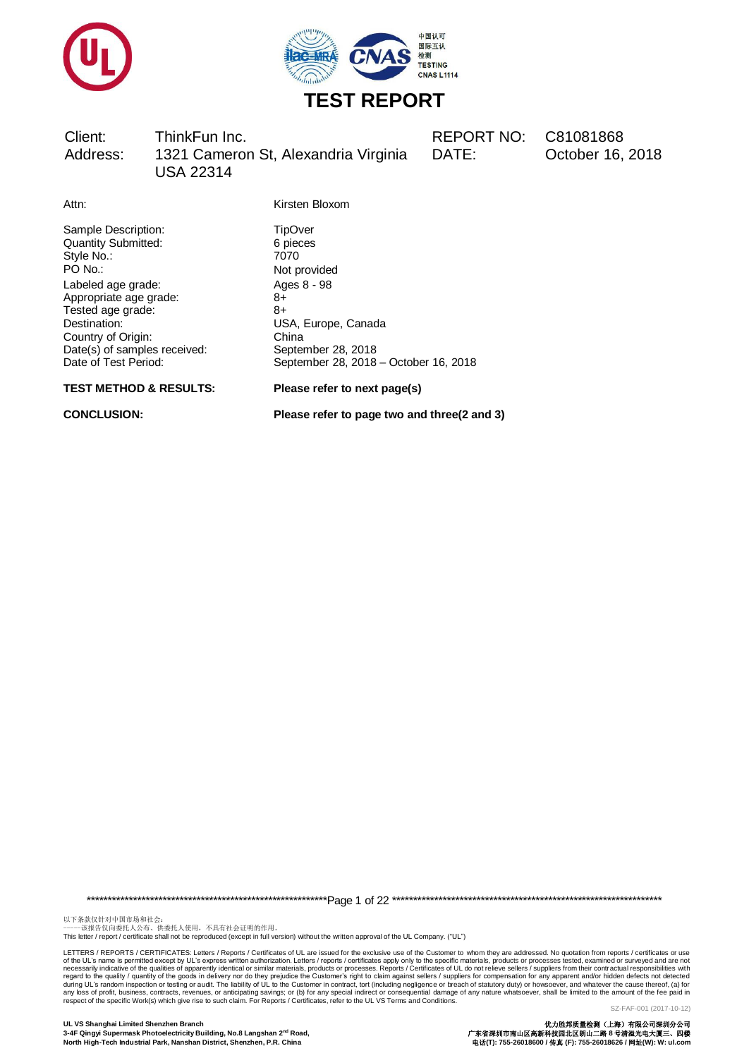



DATE: October 16, 2018

Attn: Kirsten Bloxom

Not provided

Sample Description: TipOver<br>
Quantity Submitted: 6 pieces Quantity Submitted: 6 pieces 6 pieces 6 pieces 6 pieces 6 pieces 6 pieces 6 pieces 6 pieces 6 pieces 6 pieces 6 pieces 6 pieces 6 pieces 6 pieces 6 pieces 6 pieces 6 pieces 6 pieces 6 pieces 6 pieces 6 pieces 6 pieces 6 pi Style No.:<br>PO No.: Labeled age grade: Ages 8 - 98 Appropriate age grade: 8+ Tested age grade: 8+ Destination: USA, Europe, Canada  $Date(s)$  of samples received:

Country of Origin: China<br>
Date(s) of samples received: China<br>
Country of September 28, 2018 Date of Test Period: September 28, 2018 – October 16, 2018

#### **TEST METHOD & RESULTS: Please refer to next page(s)**

**CONCLUSION: Please refer to page two and three(2 and 3)**

\*\*\*\*\*\*\*\*\*\*\*\*\*\*\*\*\*\*\*\*\*\*\*\*\*\*\*\*\*\*\*\*\*\*\*\*\*\*\*\*\*\*\*\*\*\*\*\*\*\*\*\*\*\*\*\*\*Page 1 of 22 \*\*\*\*\*\*\*\*\*\*\*\*\*\*\*\*\*\*\*\*\*\*\*\*\*\*\*\*\*\*\*\*\*\*\*\*\*\*\*\*\*\*\*\*\*\*\*\*\*\*\*\*\*\*\*\*\*\*\*\*\*\*\*\*

以下条款仅针对中国市场和社会:<br>-----该报告仅向委托人公布、供委托人使用,不具有社会证明的作用。

This letter / report / certificate shall not be reproduced (except in full version) without the written approval of the UL Company. ("UL")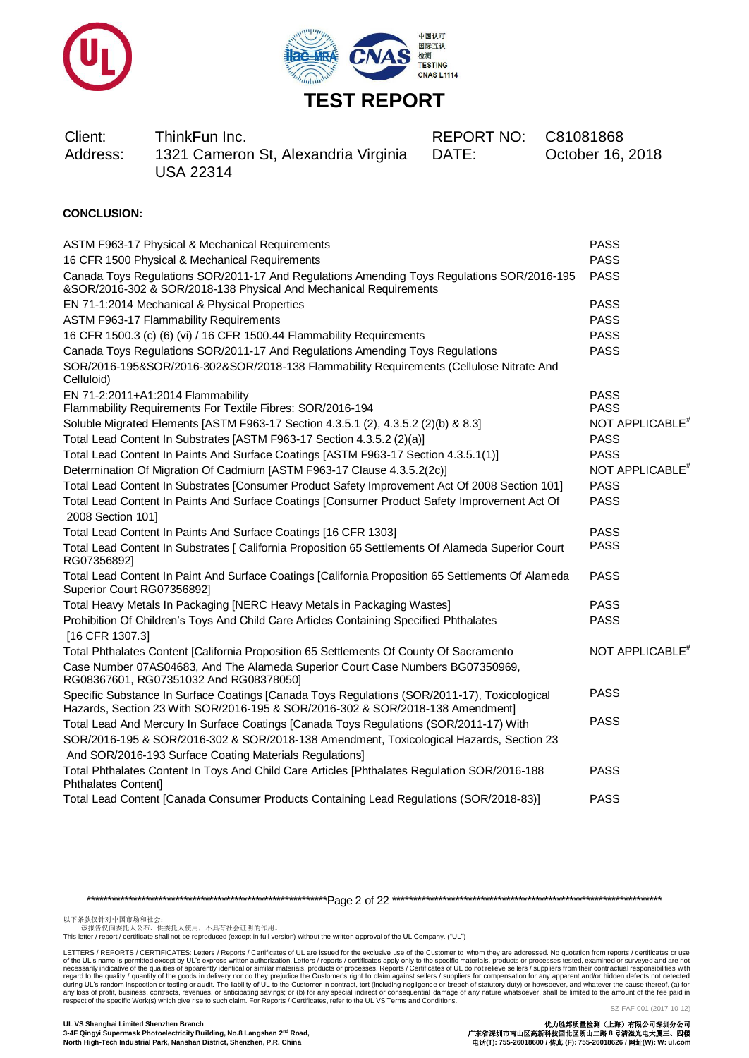



| Client:<br>Address: | ThinkFun Inc.<br>1321 Cameron St, Alexandria Virginia<br><b>USA 22314</b> | REPORT NO: C81081868<br>DATE: | October 16, 2018 |
|---------------------|---------------------------------------------------------------------------|-------------------------------|------------------|
|                     |                                                                           |                               |                  |

#### **CONCLUSION:**

| ASTM F963-17 Physical & Mechanical Requirements                                                                                                                                | <b>PASS</b>                 |
|--------------------------------------------------------------------------------------------------------------------------------------------------------------------------------|-----------------------------|
| 16 CFR 1500 Physical & Mechanical Requirements                                                                                                                                 | <b>PASS</b>                 |
| Canada Toys Regulations SOR/2011-17 And Regulations Amending Toys Regulations SOR/2016-195<br>&SOR/2016-302 & SOR/2018-138 Physical And Mechanical Requirements                | <b>PASS</b>                 |
| EN 71-1:2014 Mechanical & Physical Properties                                                                                                                                  | <b>PASS</b>                 |
| ASTM F963-17 Flammability Requirements                                                                                                                                         | <b>PASS</b>                 |
| 16 CFR 1500.3 (c) (6) (vi) / 16 CFR 1500.44 Flammability Requirements                                                                                                          | <b>PASS</b>                 |
| Canada Toys Regulations SOR/2011-17 And Regulations Amending Toys Regulations<br>SOR/2016-195&SOR/2016-302&SOR/2018-138 Flammability Requirements (Cellulose Nitrate And       | <b>PASS</b>                 |
| Celluloid)                                                                                                                                                                     |                             |
| EN 71-2:2011+A1:2014 Flammability                                                                                                                                              | <b>PASS</b>                 |
| Flammability Requirements For Textile Fibres: SOR/2016-194                                                                                                                     | <b>PASS</b>                 |
| Soluble Migrated Elements [ASTM F963-17 Section 4.3.5.1 (2), 4.3.5.2 (2)(b) & 8.3]                                                                                             | NOT APPLICABLE <sup>#</sup> |
| Total Lead Content In Substrates [ASTM F963-17 Section 4.3.5.2 (2)(a)]                                                                                                         | <b>PASS</b>                 |
| Total Lead Content In Paints And Surface Coatings [ASTM F963-17 Section 4.3.5.1(1)]                                                                                            | <b>PASS</b>                 |
| Determination Of Migration Of Cadmium [ASTM F963-17 Clause 4.3.5.2(2c)]                                                                                                        | NOT APPLICABLE <sup>#</sup> |
| Total Lead Content In Substrates [Consumer Product Safety Improvement Act Of 2008 Section 101]                                                                                 | <b>PASS</b>                 |
| Total Lead Content In Paints And Surface Coatings [Consumer Product Safety Improvement Act Of<br>2008 Section 101]                                                             | <b>PASS</b>                 |
| Total Lead Content In Paints And Surface Coatings [16 CFR 1303]                                                                                                                | <b>PASS</b>                 |
| Total Lead Content In Substrates [ California Proposition 65 Settlements Of Alameda Superior Court<br>RG07356892]                                                              | <b>PASS</b>                 |
| Total Lead Content In Paint And Surface Coatings [California Proposition 65 Settlements Of Alameda<br>Superior Court RG07356892]                                               | <b>PASS</b>                 |
| Total Heavy Metals In Packaging [NERC Heavy Metals in Packaging Wastes]                                                                                                        | <b>PASS</b>                 |
| Prohibition Of Children's Toys And Child Care Articles Containing Specified Phthalates<br>[16 CFR 1307.3]                                                                      | <b>PASS</b>                 |
| Total Phthalates Content [California Proposition 65 Settlements Of County Of Sacramento                                                                                        | NOT APPLICABLE <sup>*</sup> |
| Case Number 07AS04683, And The Alameda Superior Court Case Numbers BG07350969,<br>RG08367601, RG07351032 And RG08378050]                                                       |                             |
| Specific Substance In Surface Coatings [Canada Toys Regulations (SOR/2011-17), Toxicological<br>Hazards, Section 23 With SOR/2016-195 & SOR/2016-302 & SOR/2018-138 Amendment] | <b>PASS</b>                 |
| Total Lead And Mercury In Surface Coatings [Canada Toys Regulations (SOR/2011-17) With                                                                                         | <b>PASS</b>                 |
| SOR/2016-195 & SOR/2016-302 & SOR/2018-138 Amendment, Toxicological Hazards, Section 23                                                                                        |                             |
| And SOR/2016-193 Surface Coating Materials Regulations]                                                                                                                        |                             |
| Total Phthalates Content In Toys And Child Care Articles [Phthalates Regulation SOR/2016-188<br>Phthalates Content]                                                            | <b>PASS</b>                 |
| Total Lead Content [Canada Consumer Products Containing Lead Regulations (SOR/2018-83)]                                                                                        | <b>PASS</b>                 |
|                                                                                                                                                                                |                             |

\*\*\*\*\*\*\*\*\*\*\*\*\*\*\*\*\*\*\*\*\*\*\*\*\*\*\*\*\*\*\*\*\*\*\*\*\*\*\*\*\*\*\*\*\*\*\*\*\*\*\*\*\*\*\*\*\*Page 2 of 22 \*\*\*\*\*\*\*\*\*\*\*\*\*\*\*\*\*\*\*\*\*\*\*\*\*\*\*\*\*\*\*\*\*\*\*\*\*\*\*\*\*\*\*\*\*\*\*\*\*\*\*\*\*\*\*\*\*\*\*\*\*\*\*\*

以下条款仅针对中国市场和社会:<br>-----该报告仅向委托人公布、供委托人使用,不具有社会证明的作用。

This letter / report / certificate shall not be reproduced (except in full version) without the written approval of the UL Company. ("UL")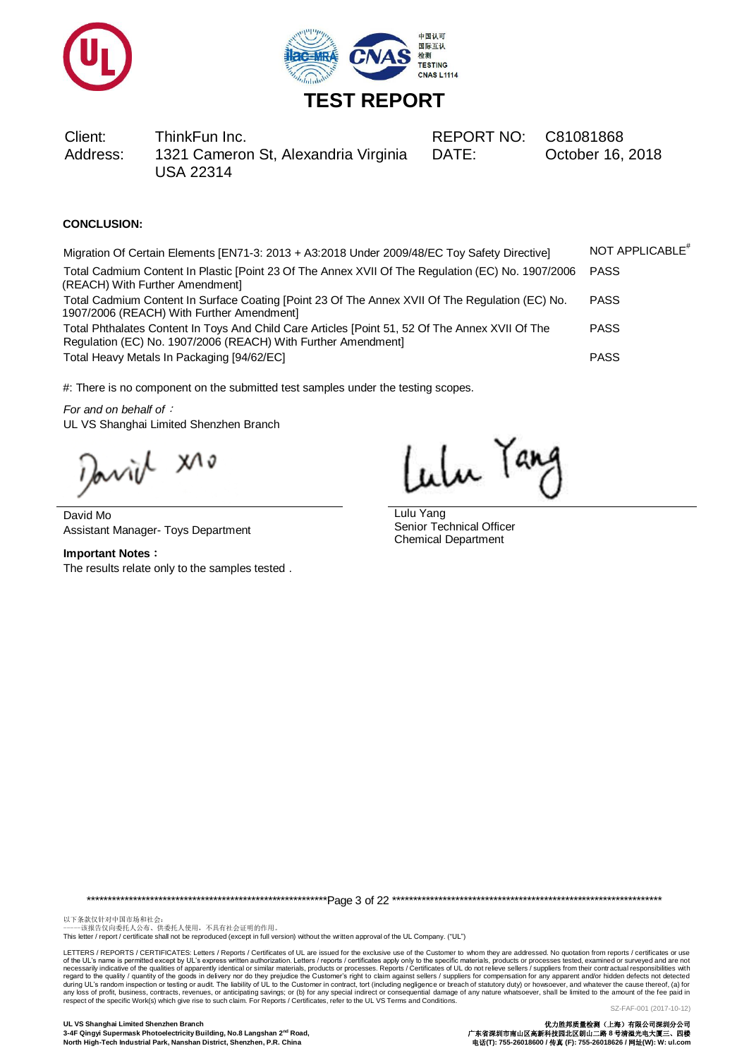



DATE: October 16, 2018

## **CONCLUSION:**

Migration Of Certain Elements [EN71-3: 2013 + A3:2018 Under 2009/48/EC Toy Safety Directive] NOT APPLICABLE<sup>#</sup> Total Cadmium Content In Plastic [Point 23 Of The Annex XVII Of The Regulation (EC) No. 1907/2006 (REACH) With Further Amendment] PASS Total Cadmium Content In Surface Coating [Point 23 Of The Annex XVII Of The Regulation (EC) No. 1907/2006 (REACH) With Further Amendment] PASS Total Phthalates Content In Toys And Child Care Articles [Point 51, 52 Of The Annex XVII Of The Regulation (EC) No. 1907/2006 (REACH) With Further Amendment] PASS Total Heavy Metals In Packaging [94/62/EC] **PASS PASS** 

#: There is no component on the submitted test samples under the testing scopes.

*For and on behalf of*: UL VS Shanghai Limited Shenzhen Branch

Javid XI.

David Mo Assistant Manager- Toys Department

**Important Notes**: The results relate only to the samples tested .

Lulu Tang

Lulu Yang Senior Technical Officer Chemical Department

\*\*\*\*\*\*\*\*\*\*\*\*\*\*\*\*\*\*\*\*\*\*\*\*\*\*\*\*\*\*\*\*\*\*\*\*\*\*\*\*\*\*\*\*\*\*\*\*\*\*\*\*\*\*\*\*\*Page 3 of 22 \*\*\*\*\*\*\*\*\*\*\*\*\*\*\*\*\*\*\*\*\*\*\*\*\*\*\*\*\*\*\*\*\*\*\*\*\*\*\*\*\*\*\*\*\*\*\*\*\*\*\*\*\*\*\*\*\*\*\*\*\*\*\*\*

以下条款仅针对中国市场和社会:<br>-----该报告仅向委托人公布、供委托人使用,不具有社会证明的作用。

This letter / report / certificate shall not be reproduced (except in full version) without the written approval of the UL Company. ("UL")

LETTERS / REPORTS / CERTIFICATES: Letters / Reports / Certificates of UL are issued for the exclusive use of the Customer to whom they are addressed. No quotation from reports / certificates or use of the UL's name is permitted except by UL's express written authorization. Letters / reports / certificates apply only to the specific materials, products or processes. Reports / Certificates of UL do not relieve sellers respect of the specific Work(s) which give rise to such claim. For Reports / Certificates, refer to the UL VS Terms and Conditions.

SZ-FAF-001 (2017-10-12)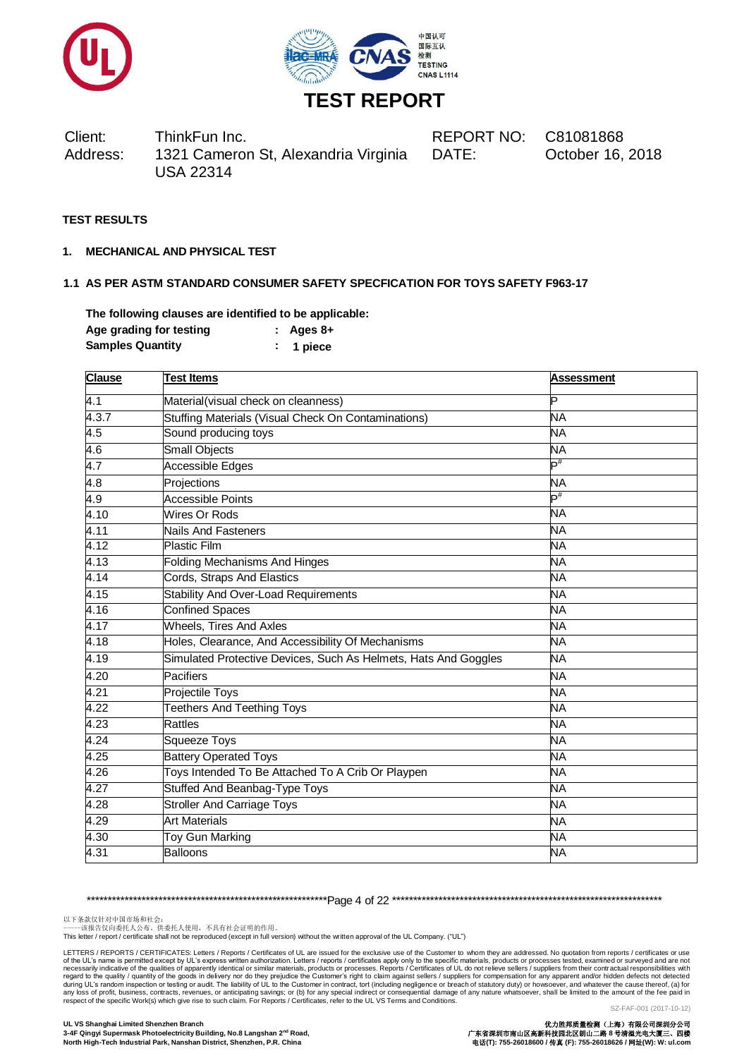



#### **TEST RESULTS**

**1. MECHANICAL AND PHYSICAL TEST**

#### **1.1 AS PER ASTM STANDARD CONSUMER SAFETY SPECFICATION FOR TOYS SAFETY F963-17**

**The following clauses are identified to be applicable: Age grading for testing : Ages 8+ Samples Quantity : 1 piece**

| <b>Clause</b> | <b>Test Items</b>                                               | <b>Assessment</b> |
|---------------|-----------------------------------------------------------------|-------------------|
| 4.1           | Material(visual check on cleanness)                             | Þ                 |
| 4.3.7         | Stuffing Materials (Visual Check On Contaminations)             | <b>NA</b>         |
| 4.5           | Sound producing toys                                            | <b>NA</b>         |
| 4.6           | <b>Small Objects</b>                                            | <b>NA</b>         |
| 4.7           | Accessible Edges                                                | $\mathsf{P}^\#$   |
| 4.8           | Projections                                                     | <b>NA</b>         |
| 4.9           | <b>Accessible Points</b>                                        | $\mathsf{P}^\#$   |
| 4.10          | Wires Or Rods                                                   | NΑ                |
| 4.11          | <b>Nails And Fasteners</b>                                      | <b>NA</b>         |
| 4.12          | <b>Plastic Film</b>                                             | <b>NA</b>         |
| 4.13          | <b>Folding Mechanisms And Hinges</b>                            | <b>NA</b>         |
| 4.14          | Cords, Straps And Elastics                                      | <b>NA</b>         |
| 4.15          | Stability And Over-Load Requirements                            | <b>NA</b>         |
| 4.16          | <b>Confined Spaces</b>                                          | <b>NA</b>         |
| 4.17          | <b>Wheels, Tires And Axles</b>                                  | <b>NA</b>         |
| 4.18          | Holes, Clearance, And Accessibility Of Mechanisms               | <b>NA</b>         |
| 4.19          | Simulated Protective Devices, Such As Helmets, Hats And Goggles | <b>NA</b>         |
| 4.20          | <b>Pacifiers</b>                                                | <b>NA</b>         |
| 4.21          | Projectile Toys                                                 | <b>NA</b>         |
| 4.22          | <b>Teethers And Teething Toys</b>                               | <b>NA</b>         |
| 4.23          | <b>Rattles</b>                                                  | <b>NA</b>         |
| 4.24          | <b>Squeeze Toys</b>                                             | <b>NA</b>         |
| 4.25          | <b>Battery Operated Toys</b>                                    | <b>NA</b>         |
| 4.26          | Toys Intended To Be Attached To A Crib Or Playpen               | <b>NA</b>         |
| 4.27          | <b>Stuffed And Beanbag-Type Toys</b>                            | NΑ                |
| 4.28          | <b>Stroller And Carriage Toys</b>                               | <b>NA</b>         |
| 4.29          | <b>Art Materials</b>                                            | <b>NA</b>         |
| 4.30          | <b>Toy Gun Marking</b>                                          | <b>NA</b>         |
| 4.31          | <b>Balloons</b>                                                 | <b>NA</b>         |

\*\*\*\*\*\*\*\*\*\*\*\*\*\*\*\*\*\*\*\*\*\*\*\*\*\*\*\*\*\*\*\*\*\*\*\*\*\*\*\*\*\*\*\*\*\*\*\*\*\*\*\*\*\*\*\*\*Page 4 of 22 \*\*\*\*\*\*\*\*\*\*\*\*\*\*\*\*\*\*\*\*\*\*\*\*\*\*\*\*\*\*\*\*\*\*\*\*\*\*\*\*\*\*\*\*\*\*\*\*\*\*\*\*\*\*\*\*\*\*\*\*\*\*\*\*

以下条款仅针对中国市场和社会:<br>-----该报告仅向委托人公布、供委托人使用,不具有社会证明的作用。

This letter / report / certificate shall not be reproduced (except in full version) without the written approval of the UL Company. ("UL")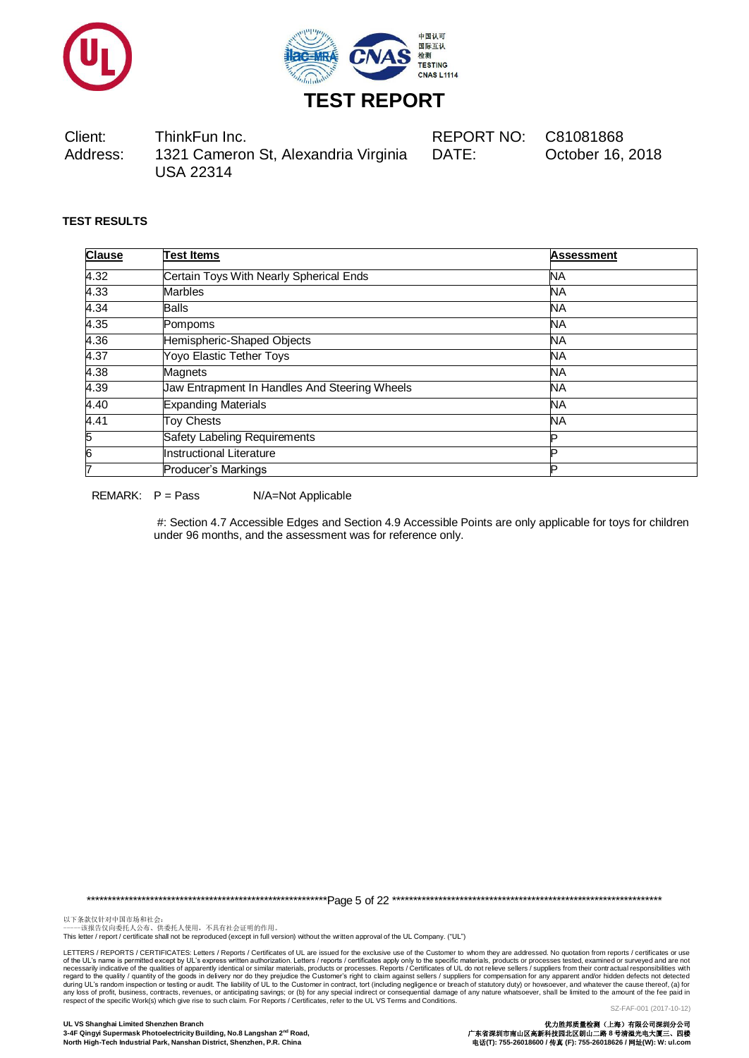



#### **TEST RESULTS**

| <b>Clause</b> | <b>Test Items</b>                             | <b>Assessment</b> |
|---------------|-----------------------------------------------|-------------------|
| 4.32          | Certain Toys With Nearly Spherical Ends       | NА                |
| 4.33          | <b>Marbles</b>                                | <b>NA</b>         |
| 4.34          | <b>Balls</b>                                  | <b>NA</b>         |
| 4.35          | Pompoms                                       | <b>NA</b>         |
| 4.36          | Hemispheric-Shaped Objects                    | <b>NA</b>         |
| 4.37          | Yoyo Elastic Tether Toys                      | <b>NA</b>         |
| 4.38          | Magnets                                       | <b>NA</b>         |
| 4.39          | Jaw Entrapment In Handles And Steering Wheels | <b>NA</b>         |
| 4.40          | <b>Expanding Materials</b>                    | <b>NA</b>         |
| 4.41          | <b>Toy Chests</b>                             | <b>NA</b>         |
| 5             | Safety Labeling Requirements                  |                   |
| 6             | Instructional Literature                      |                   |
| 17            | Producer's Markings                           | D                 |

REMARK:  $P = Pass$   $N/A = Not Applicable$ 

#: Section 4.7 Accessible Edges and Section 4.9 Accessible Points are only applicable for toys for children under 96 months, and the assessment was for reference only.

\*\*\*\*\*\*\*\*\*\*\*\*\*\*\*\*\*\*\*\*\*\*\*\*\*\*\*\*\*\*\*\*\*\*\*\*\*\*\*\*\*\*\*\*\*\*\*\*\*\*\*\*\*\*\*\*\*Page 5 of 22 \*\*\*\*\*\*\*\*\*\*\*\*\*\*\*\*\*\*\*\*\*\*\*\*\*\*\*\*\*\*\*\*\*\*\*\*\*\*\*\*\*\*\*\*\*\*\*\*\*\*\*\*\*\*\*\*\*\*\*\*\*\*\*\*

以下条款仅针对中国市场和社会:<br>-----该报告仅向委托人公布、供委托人使用,不具有社会证明的作用。

This letter / report / certificate shall not be reproduced (except in full version) without the written approval of the UL Company. ("UL")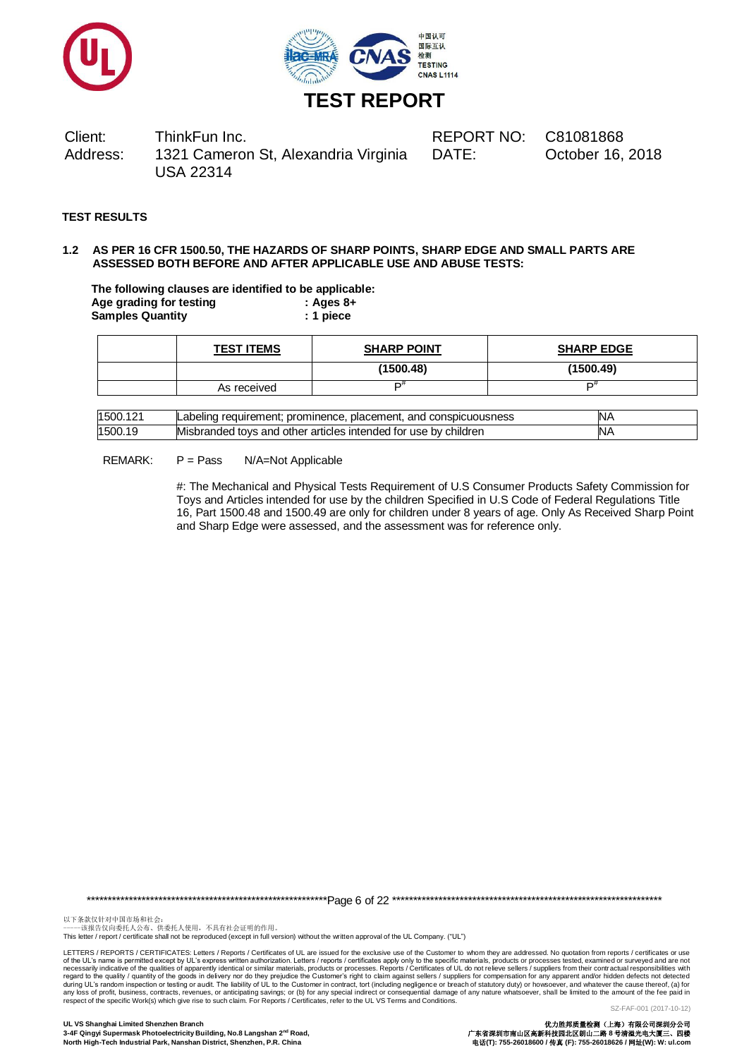



#### **TEST RESULTS**

#### **1.2 AS PER 16 CFR 1500.50, THE HAZARDS OF SHARP POINTS, SHARP EDGE AND SMALL PARTS ARE ASSESSED BOTH BEFORE AND AFTER APPLICABLE USE AND ABUSE TESTS:**

**The following clauses are identified to be applicable: Age grading for testing : Ages 8+ Samples Quantity : 1 piece**

| <b>TEST ITEMS</b> | <b>SHARP POINT</b> | <b>SHARP EDGE</b> |
|-------------------|--------------------|-------------------|
|                   | (1500.48)          | (1500.49)         |
| As received       | r#                 | −₩                |

| 1500.121 | : prominence. placement.<br>, and conspicuousness<br>requirement:<br>Labelind | IN۶ |
|----------|-------------------------------------------------------------------------------|-----|
| 1500.19  | Misbranded tovs and other articles intended for use by children               | N۶  |

REMARK: P = Pass N/A=Not Applicable

#: The Mechanical and Physical Tests Requirement of U.S Consumer Products Safety Commission for Toys and Articles intended for use by the children Specified in U.S Code of Federal Regulations Title 16, Part 1500.48 and 1500.49 are only for children under 8 years of age. Only As Received Sharp Point and Sharp Edge were assessed, and the assessment was for reference only.

\*\*\*\*\*\*\*\*\*\*\*\*\*\*\*\*\*\*\*\*\*\*\*\*\*\*\*\*\*\*\*\*\*\*\*\*\*\*\*\*\*\*\*\*\*\*\*\*\*\*\*\*\*\*\*\*\*Page 6 of 22 \*\*\*\*\*\*\*\*\*\*\*\*\*\*\*\*\*\*\*\*\*\*\*\*\*\*\*\*\*\*\*\*\*\*\*\*\*\*\*\*\*\*\*\*\*\*\*\*\*\*\*\*\*\*\*\*\*\*\*\*\*\*\*\*

以下条款仅针对中国市场和社会:<br>-----该报告仅向委托人公布、供委托人使用,不具有社会证明的作用。

This letter / report / certificate shall not be reproduced (except in full version) without the written approval of the UL Company. ("UL")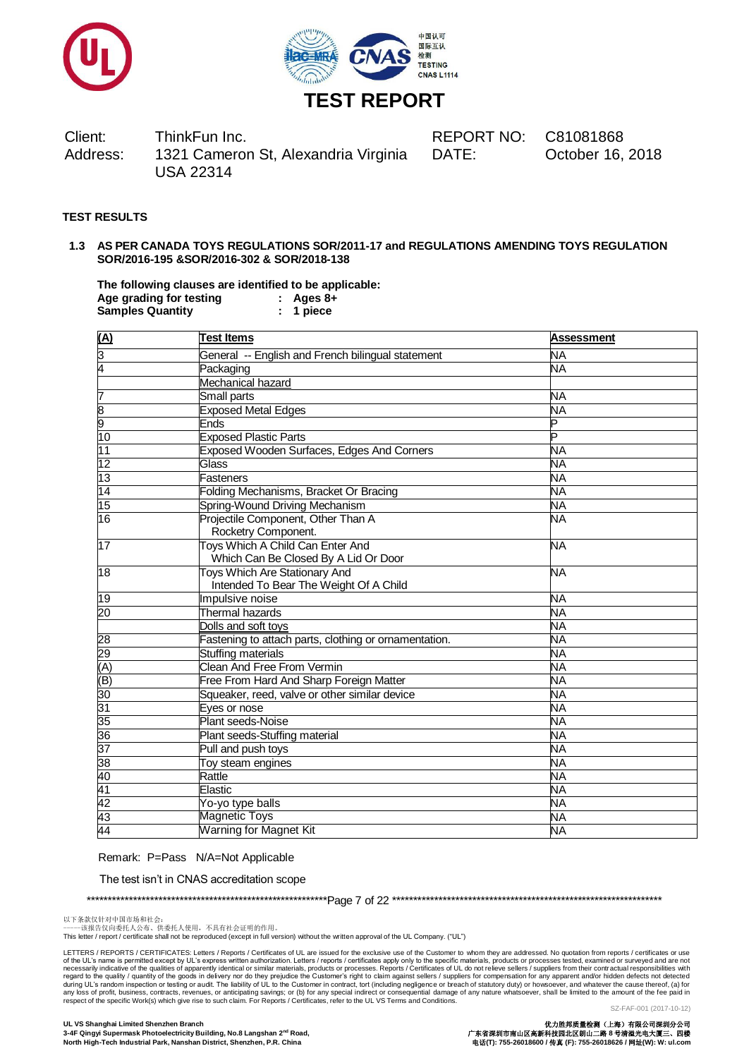



# **TEST RESULTS**

#### **1.3 AS PER CANADA TOYS REGULATIONS SOR/2011-17 and REGULATIONS AMENDING TOYS REGULATION SOR/2016-195 &SOR/2016-302 & SOR/2018-138**

**The following clauses are identified to be applicable: Age grading for testing : Ages 8+**  $S$ amples Quantity

| (A)             | <b>Test Items</b>                                                              | <b>Assessment</b> |
|-----------------|--------------------------------------------------------------------------------|-------------------|
| 3               | General -- English and French bilingual statement                              | <b>NA</b>         |
| 4               | Packaging                                                                      | <b>NA</b>         |
|                 | Mechanical hazard                                                              |                   |
| 7               | Small parts                                                                    | NA                |
|                 | <b>Exposed Metal Edges</b>                                                     | <b>NA</b>         |
| $\frac{8}{9}$   | Ends                                                                           | P                 |
| 10              | <b>Exposed Plastic Parts</b>                                                   | P                 |
| $\overline{11}$ | Exposed Wooden Surfaces, Edges And Corners                                     | NΑ                |
| 12              | Glass                                                                          | <b>NA</b>         |
| $\overline{13}$ | <b>Fasteners</b>                                                               | <b>NA</b>         |
| $\overline{14}$ | Folding Mechanisms, Bracket Or Bracing                                         | NА                |
| 15              | Spring-Wound Driving Mechanism                                                 | NA                |
| $\overline{16}$ | Projectile Component, Other Than A<br>Rocketry Component.                      | <b>NA</b>         |
| 17              | Toys Which A Child Can Enter And<br>Which Can Be Closed By A Lid Or Door       | <b>NA</b>         |
| 18              | <b>Toys Which Are Stationary And</b><br>Intended To Bear The Weight Of A Child | <b>NA</b>         |
| 19              | Impulsive noise                                                                | <b>NA</b>         |
| $\overline{20}$ | Thermal hazards                                                                | <b>NA</b>         |
|                 | Dolls and soft toys                                                            | <b>NA</b>         |
| 28              | Fastening to attach parts, clothing or ornamentation.                          | <b>NA</b>         |
| 29              | <b>Stuffing materials</b>                                                      | <b>NA</b>         |
| (A)             | <b>Clean And Free From Vermin</b>                                              | NΑ                |
| $\widehat{\Xi}$ | Free From Hard And Sharp Foreign Matter                                        | <b>NA</b>         |
| 30              | Squeaker, reed, valve or other similar device                                  | <b>NA</b>         |
| 31              | Eyes or nose                                                                   | <b>NA</b>         |
| 35              | Plant seeds-Noise                                                              | NΑ                |
| 36              | Plant seeds-Stuffing material                                                  | NΑ                |
| 37              | Pull and push toys                                                             | <b>NA</b>         |
| 38              | Toy steam engines                                                              | <b>NA</b>         |
| 40              | Rattle                                                                         | <b>NA</b>         |
| 41              | Elastic                                                                        | NΑ                |
| 42              | Yo-yo type balls                                                               | NA                |
| 43              | <b>Magnetic Toys</b>                                                           | <b>NA</b>         |
| 44              | Warning for Magnet Kit                                                         | <b>NA</b>         |

Remark: P=Pass N/A=Not Applicable

The test isn't in CNAS accreditation scope

\*\*\*\*\*\*\*\*\*\*\*\*\*\*\*\*\*\*\*\*\*\*\*\*\*\*\*\*\*\*\*\*\*\*\*\*\*\*\*\*\*\*\*\*\*\*\*\*\*\*\*\*\*\*\*\*\*Page 7 of 22 \*\*\*\*\*\*\*\*\*\*\*\*\*\*\*\*\*\*\*\*\*\*\*\*\*\*\*\*\*\*\*\*\*\*\*\*\*\*\*\*\*\*\*\*\*\*\*\*\*\*\*\*\*\*\*\*\*\*\*\*\*\*\*\*

This letter / report / certificate shall not be reproduced (except in full version) without the written approval of the UL Company. ("UL")

以下条款仅针对中国市场和社会:<br>-----该报告仅向委托人公布、供委托人使用,不具有社会证明的作用。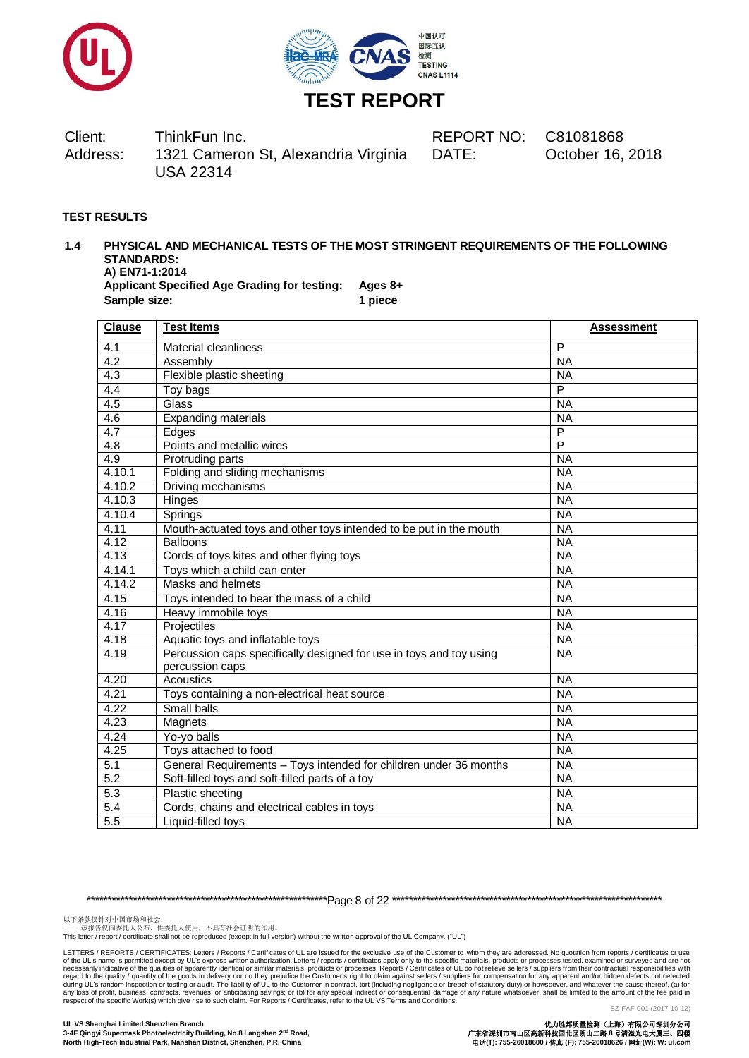



DATE: October 16, 2018

#### **TEST RESULTS**

#### **1.4 PHYSICAL AND MECHANICAL TESTS OF THE MOST STRINGENT REQUIREMENTS OF THE FOLLOWING STANDARDS: A) EN71-1:2014**

**Applicant Specified Age Grading for testing: Ages 8+ Sample size: 1 piece**

| <b>Clause</b>    | <b>Test Items</b>                                                   | <b>Assessment</b> |
|------------------|---------------------------------------------------------------------|-------------------|
| 4.1              | <b>Material cleanliness</b>                                         | P                 |
| 4.2              | Assembly                                                            | <b>NA</b>         |
| 4.3              | Flexible plastic sheeting                                           | <b>NA</b>         |
| $\overline{4.4}$ | Toy bags                                                            | $\overline{P}$    |
| 4.5              | Glass                                                               | <b>NA</b>         |
| 4.6              | Expanding materials                                                 | <b>NA</b>         |
| 4.7              | Edges                                                               | P                 |
| 4.8              | Points and metallic wires                                           | $\overline{P}$    |
| 4.9              | Protruding parts                                                    | <b>NA</b>         |
| 4.10.1           | Folding and sliding mechanisms                                      | <b>NA</b>         |
| 4.10.2           | Driving mechanisms                                                  | <b>NA</b>         |
| 4.10.3           | Hinges                                                              | <b>NA</b>         |
| 4.10.4           | Springs                                                             | <b>NA</b>         |
| 4.11             | Mouth-actuated toys and other toys intended to be put in the mouth  | <b>NA</b>         |
| 4.12             | <b>Balloons</b>                                                     | <b>NA</b>         |
| 4.13             | Cords of toys kites and other flying toys                           | <b>NA</b>         |
| 4.14.1           | Toys which a child can enter<br><b>NA</b>                           |                   |
| 4.14.2           | Masks and helmets<br><b>NA</b>                                      |                   |
| 4.15             | Toys intended to bear the mass of a child                           | <b>NA</b>         |
| 4.16             | Heavy immobile toys                                                 | <b>NA</b>         |
| 4.17             | Projectiles                                                         | <b>NA</b>         |
| 4.18             | Aquatic toys and inflatable toys                                    | <b>NA</b>         |
| 4.19             | Percussion caps specifically designed for use in toys and toy using | <b>NA</b>         |
|                  | percussion caps                                                     |                   |
| 4.20             | Acoustics                                                           | <b>NA</b>         |
| 4.21             | Toys containing a non-electrical heat source                        | <b>NA</b>         |
| 4.22             | Small balls                                                         | <b>NA</b>         |
| 4.23             | Magnets                                                             | <b>NA</b>         |
| 4.24             | Yo-yo balls                                                         | <b>NA</b>         |
| 4.25             | Toys attached to food                                               | <b>NA</b>         |
| 5.1              | General Requirements - Toys intended for children under 36 months   | <b>NA</b>         |
| 5.2              | Soft-filled toys and soft-filled parts of a toy                     | <b>NA</b>         |
| 5.3              | <b>Plastic sheeting</b>                                             | <b>NA</b>         |
| 5.4              | Cords, chains and electrical cables in toys                         | <b>NA</b>         |
| 5.5              | Liquid-filled toys                                                  | <b>NA</b>         |

\*\*\*\*\*\*\*\*\*\*\*\*\*\*\*\*\*\*\*\*\*\*\*\*\*\*\*\*\*\*\*\*\*\*\*\*\*\*\*\*\*\*\*\*\*\*\*\*\*\*\*\*\*\*\*\*\*Page 8 of 22 \*\*\*\*\*\*\*\*\*\*\*\*\*\*\*\*\*\*\*\*\*\*\*\*\*\*\*\*\*\*\*\*\*\*\*\*\*\*\*\*\*\*\*\*\*\*\*\*\*\*\*\*\*\*\*\*\*\*\*\*\*\*\*\*

以下条款仅针对中国市场和社会:<br>-----该报告仅向委托人公布、供委托人使用,不具有社会证明的作用。

This letter / report / certificate shall not be reproduced (except in full version) without the written approval of the UL Company. ("UL")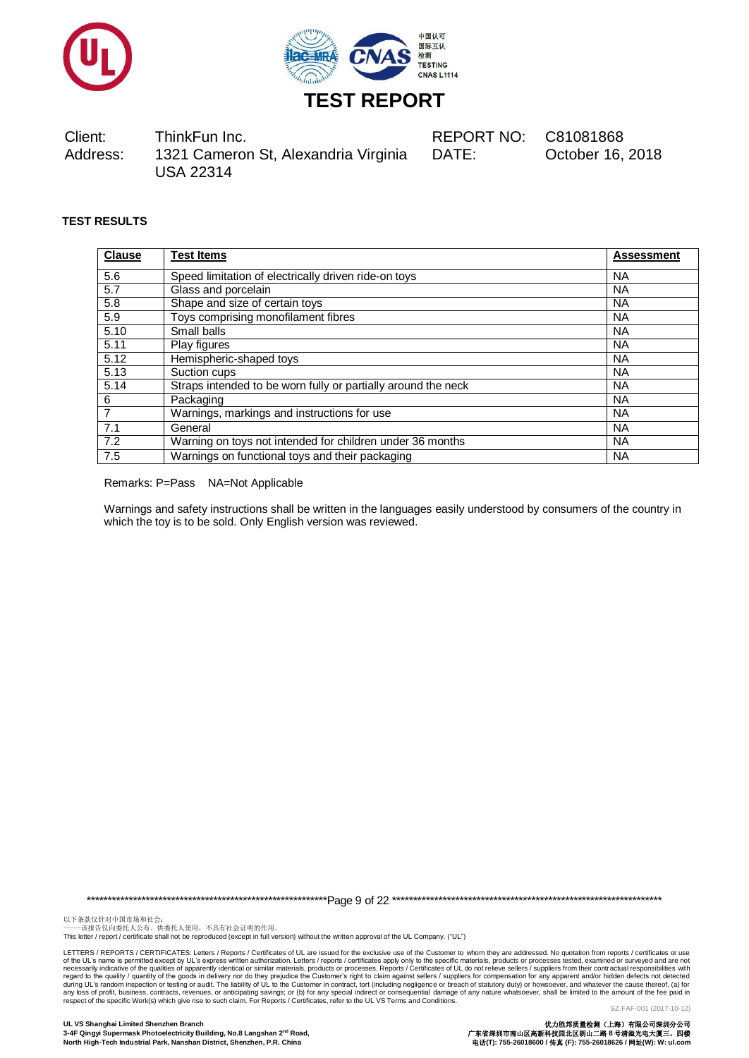



DATE: October 16, 2018

# **TEST RESULTS**

| <b>Clause</b> | <b>Test Items</b>                                             | <b>Assessment</b> |
|---------------|---------------------------------------------------------------|-------------------|
| 5.6           | Speed limitation of electrically driven ride-on toys          | <b>NA</b>         |
| 5.7           | Glass and porcelain                                           | <b>NA</b>         |
| 5.8           | Shape and size of certain toys                                | <b>NA</b>         |
| 5.9           | Toys comprising monofilament fibres                           | <b>NA</b>         |
| 5.10          | Small balls                                                   | <b>NA</b>         |
| 5.11          | Play figures                                                  | <b>NA</b>         |
| 5.12          | Hemispheric-shaped toys                                       | <b>NA</b>         |
| 5.13          | Suction cups                                                  | <b>NA</b>         |
| 5.14          | Straps intended to be worn fully or partially around the neck | <b>NA</b>         |
| 6             | Packaging                                                     | <b>NA</b>         |
| 7             | Warnings, markings and instructions for use                   | <b>NA</b>         |
| 7.1           | General                                                       | <b>NA</b>         |
| 7.2           | Warning on toys not intended for children under 36 months     | <b>NA</b>         |
| 7.5           | Warnings on functional toys and their packaging               | <b>NA</b>         |

Remarks: P=Pass NA=Not Applicable

Warnings and safety instructions shall be written in the languages easily understood by consumers of the country in which the toy is to be sold. Only English version was reviewed.

\*\*\*\*\*\*\*\*\*\*\*\*\*\*\*\*\*\*\*\*\*\*\*\*\*\*\*\*\*\*\*\*\*\*\*\*\*\*\*\*\*\*\*\*\*\*\*\*\*\*\*\*\*\*\*\*\*Page 9 of 22 \*\*\*\*\*\*\*\*\*\*\*\*\*\*\*\*\*\*\*\*\*\*\*\*\*\*\*\*\*\*\*\*\*\*\*\*\*\*\*\*\*\*\*\*\*\*\*\*\*\*\*\*\*\*\*\*\*\*\*\*\*\*\*\*

以下条款仅针对中国市场和社会:<br>-----该报告仅向委托人公布、供委托人使用,不具有社会证明的作用。

This letter / report / certificate shall not be reproduced (except in full version) without the written approval of the UL Company. ("UL")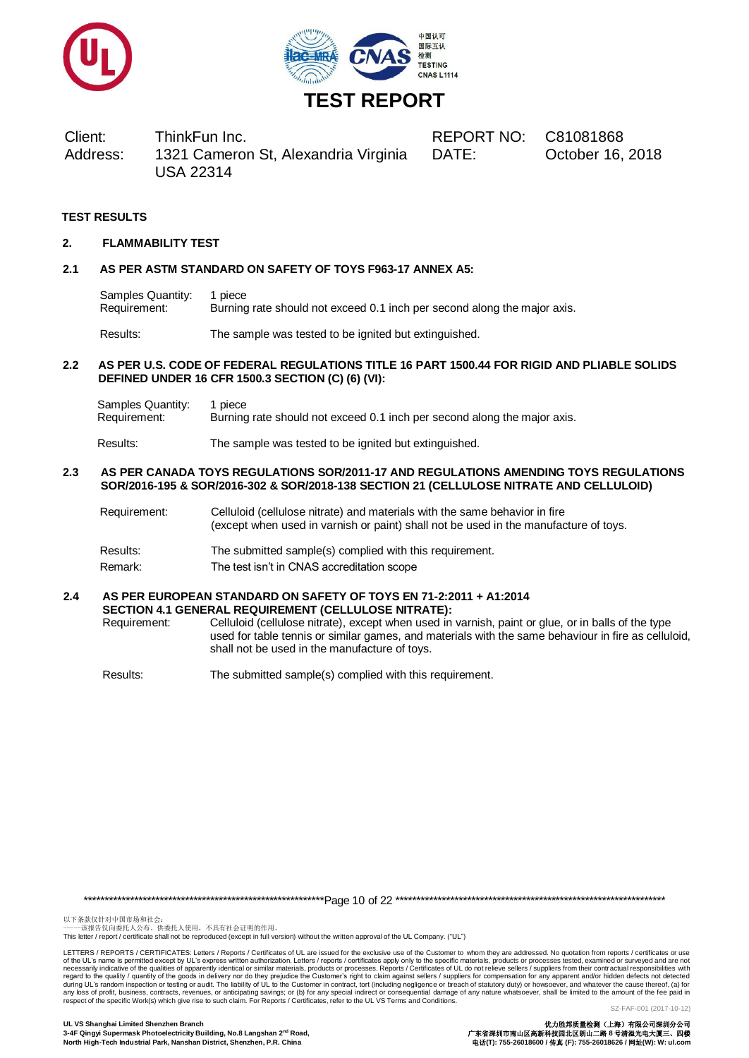



DATE: October 16, 2018

## **TEST RESULTS**

#### **2. FLAMMABILITY TEST**

#### **2.1 AS PER ASTM STANDARD ON SAFETY OF TOYS F963-17 ANNEX A5:**

Samples Quantity: 1 piece Requirement: Burning rate should not exceed 0.1 inch per second along the major axis.

Results: The sample was tested to be ignited but extinguished.

#### **2.2 AS PER U.S. CODE OF FEDERAL REGULATIONS TITLE 16 PART 1500.44 FOR RIGID AND PLIABLE SOLIDS DEFINED UNDER 16 CFR 1500.3 SECTION (C) (6) (VI):**

Samples Quantity: 1 piece<br>Requirement: Burning Burning rate should not exceed 0.1 inch per second along the major axis.

Results: The sample was tested to be ignited but extinguished.

#### **2.3 AS PER CANADA TOYS REGULATIONS SOR/2011-17 AND REGULATIONS AMENDING TOYS REGULATIONS SOR/2016-195 & SOR/2016-302 & SOR/2018-138 SECTION 21 (CELLULOSE NITRATE AND CELLULOID)**

- Requirement: Celluloid (cellulose nitrate) and materials with the same behavior in fire (except when used in varnish or paint) shall not be used in the manufacture of toys.
- Results: The submitted sample(s) complied with this requirement.
- Remark: The test isn't in CNAS accreditation scope

#### **2.4 AS PER EUROPEAN STANDARD ON SAFETY OF TOYS EN 71-2:2011 + A1:2014 SECTION 4.1 GENERAL REQUIREMENT (CELLULOSE NITRATE):**

Requirement: Celluloid (cellulose nitrate), except when used in varnish, paint or glue, or in balls of the type used for table tennis or similar games, and materials with the same behaviour in fire as celluloid, shall not be used in the manufacture of toys.

Results: The submitted sample(s) complied with this requirement.

\*\*\*\*\*\*\*\*\*\*\*\*\*\*\*\*\*\*\*\*\*\*\*\*\*\*\*\*\*\*\*\*\*\*\*\*\*\*\*\*\*\*\*\*\*\*\*\*\*\*\*\*\*\*\*\*\*Page 10 of 22 \*\*\*\*\*\*\*\*\*\*\*\*\*\*\*\*\*\*\*\*\*\*\*\*\*\*\*\*\*\*\*\*\*\*\*\*\*\*\*\*\*\*\*\*\*\*\*\*\*\*\*\*\*\*\*\*\*\*\*\*\*\*\*\*

以下条款仅针对中国市场和社会:<br>-----该报告仅向委托人公布、供委托人使用,不具有社会证明的作用。

This letter / report / certificate shall not be reproduced (except in full version) without the written approval of the UL Company. ("UL")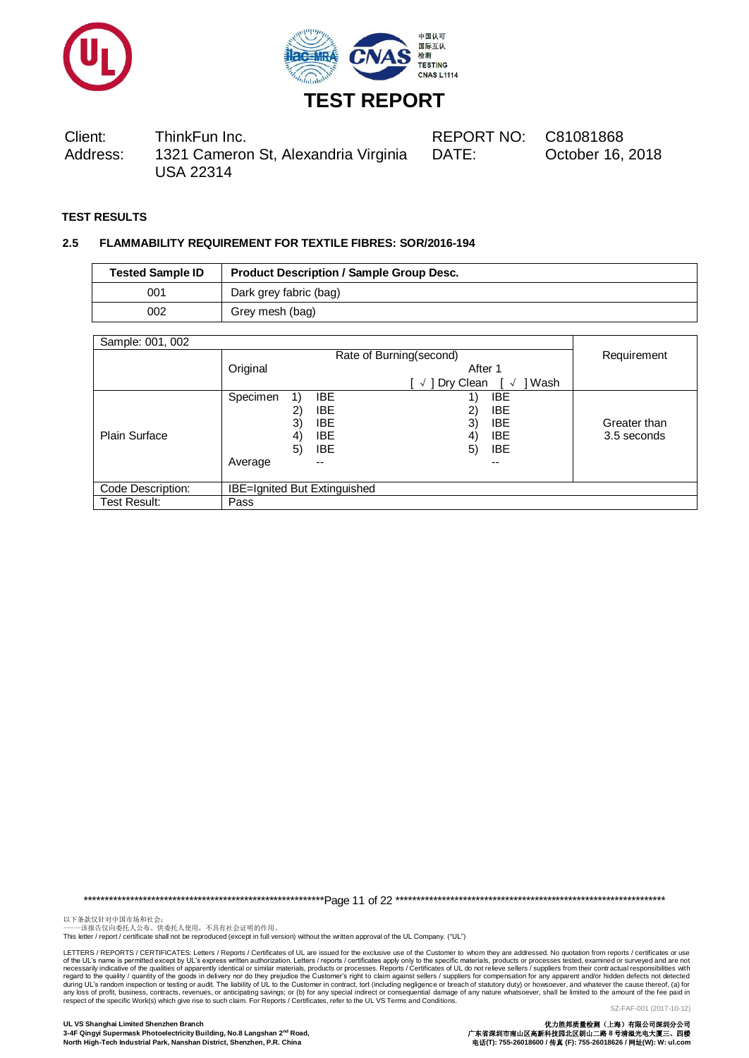



DATE: October 16, 2018

# **TEST RESULTS**

#### **2.5 FLAMMABILITY REQUIREMENT FOR TEXTILE FIBRES: SOR/2016-194**

| <b>Tested Sample ID</b> | <b>Product Description / Sample Group Desc.</b> |
|-------------------------|-------------------------------------------------|
| 001                     | Dark grey fabric (bag)                          |
| 002                     | Grey mesh (bag)                                 |

| Sample: 001, 002     |                                     |                          |                         |                            |              |
|----------------------|-------------------------------------|--------------------------|-------------------------|----------------------------|--------------|
|                      | Rate of Burning(second)             |                          |                         | Requirement                |              |
|                      | Original                            |                          | After 1                 |                            |              |
|                      |                                     |                          | Dry Clean<br>$\sqrt{ }$ | Wash<br>$\rightsquigarrow$ |              |
|                      | Specimen<br>1)                      | <b>IBE</b>               |                         | IBE                        |              |
|                      | 2)                                  | <b>IBE</b>               | 2)                      | <b>IBE</b>                 |              |
|                      | 3)                                  | <b>IBE</b>               | 3)                      | <b>IBE</b>                 | Greater than |
| <b>Plain Surface</b> | 4)                                  | <b>IBE</b>               | 4)                      | <b>IBE</b>                 | 3.5 seconds  |
|                      | 5)                                  | <b>IBE</b>               | 5)                      | <b>IBE</b>                 |              |
|                      | Average                             | $\overline{\phantom{m}}$ |                         | --                         |              |
|                      |                                     |                          |                         |                            |              |
| Code Description:    | <b>IBE=Ignited But Extinguished</b> |                          |                         |                            |              |
| Test Result:         | Pass                                |                          |                         |                            |              |

\*\*\*\*\*\*\*\*\*\*\*\*\*\*\*\*\*\*\*\*\*\*\*\*\*\*\*\*\*\*\*\*\*\*\*\*\*\*\*\*\*\*\*\*\*\*\*\*\*\*\*\*\*\*\*\*\*Page 11 of 22 \*\*\*\*\*\*\*\*\*\*\*\*\*\*\*\*\*\*\*\*\*\*\*\*\*\*\*\*\*\*\*\*\*\*\*\*\*\*\*\*\*\*\*\*\*\*\*\*\*\*\*\*\*\*\*\*\*\*\*\*\*\*\*\*

以下条款仅针对中国市场和社会:<br>-----该报告仅向委托人公布、供委托人使用,不具有社会证明的作用。

This letter / report / certificate shall not be reproduced (except in full version) without the written approval of the UL Company. ("UL")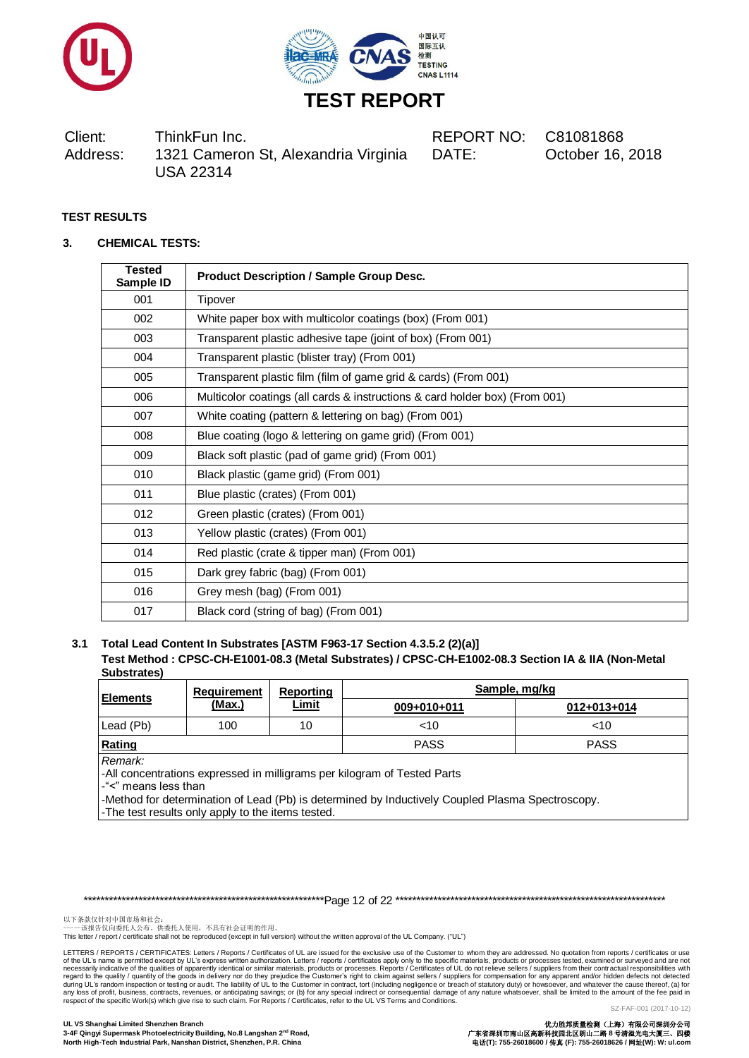



DATE: October 16, 2018

# **TEST RESULTS**

#### **3. CHEMICAL TESTS:**

| <b>Tested</b><br>Sample ID | <b>Product Description / Sample Group Desc.</b>                             |
|----------------------------|-----------------------------------------------------------------------------|
| 001                        | Tipover                                                                     |
| 002                        | White paper box with multicolor coatings (box) (From 001)                   |
| 003                        | Transparent plastic adhesive tape (joint of box) (From 001)                 |
| 004                        | Transparent plastic (blister tray) (From 001)                               |
| 005                        | Transparent plastic film (film of game grid & cards) (From 001)             |
| 006                        | Multicolor coatings (all cards & instructions & card holder box) (From 001) |
| 007                        | White coating (pattern & lettering on bag) (From 001)                       |
| 008                        | Blue coating (logo & lettering on game grid) (From 001)                     |
| 009                        | Black soft plastic (pad of game grid) (From 001)                            |
| 010                        | Black plastic (game grid) (From 001)                                        |
| 011                        | Blue plastic (crates) (From 001)                                            |
| 012                        | Green plastic (crates) (From 001)                                           |
| 013                        | Yellow plastic (crates) (From 001)                                          |
| 014                        | Red plastic (crate & tipper man) (From 001)                                 |
| 015                        | Dark grey fabric (bag) (From 001)                                           |
| 016                        | Grey mesh (bag) (From 001)                                                  |
| 017                        | Black cord (string of bag) (From 001)                                       |

#### **3.1 Total Lead Content In Substrates [ASTM F963-17 Section 4.3.5.2 (2)(a)] Test Method : CPSC-CH-E1001-08.3 (Metal Substrates) / CPSC-CH-E1002-08.3 Section IA & IIA (Non-Metal Substrates)**

| ----------      | Requirement   | Reporting    |             | Sample, mg/kg |
|-----------------|---------------|--------------|-------------|---------------|
| <b>Elements</b> | <u>(Max.)</u> | <u>Limit</u> | 009+010+011 | 012+013+014   |
| Lead (Pb)       | 100           | 10           | $<$ 10      | ~10           |
| Rating          |               |              | <b>PASS</b> | <b>PASS</b>   |
| Remark:         |               |              |             |               |

-All concentrations expressed in milligrams per kilogram of Tested Parts

-"<" means less than

-Method for determination of Lead (Pb) is determined by Inductively Coupled Plasma Spectroscopy.

-The test results only apply to the items tested.

\*\*\*\*\*\*\*\*\*\*\*\*\*\*\*\*\*\*\*\*\*\*\*\*\*\*\*\*\*\*\*\*\*\*\*\*\*\*\*\*\*\*\*\*\*\*\*\*\*\*\*\*\*\*\*\*\*Page 12 of 22 \*\*\*\*\*\*\*\*\*\*\*\*\*\*\*\*\*\*\*\*\*\*\*\*\*\*\*\*\*\*\*\*\*\*\*\*\*\*\*\*\*\*\*\*\*\*\*\*\*\*\*\*\*\*\*\*\*\*\*\*\*\*\*\*

以下条款仅针对中国市场和社会:<br>-----该报告仅向委托人公布、供委托人使用,不具有社会证明的作用。

This letter / report / certificate shall not be reproduced (except in full version) without the written approval of the UL Company. ("UL")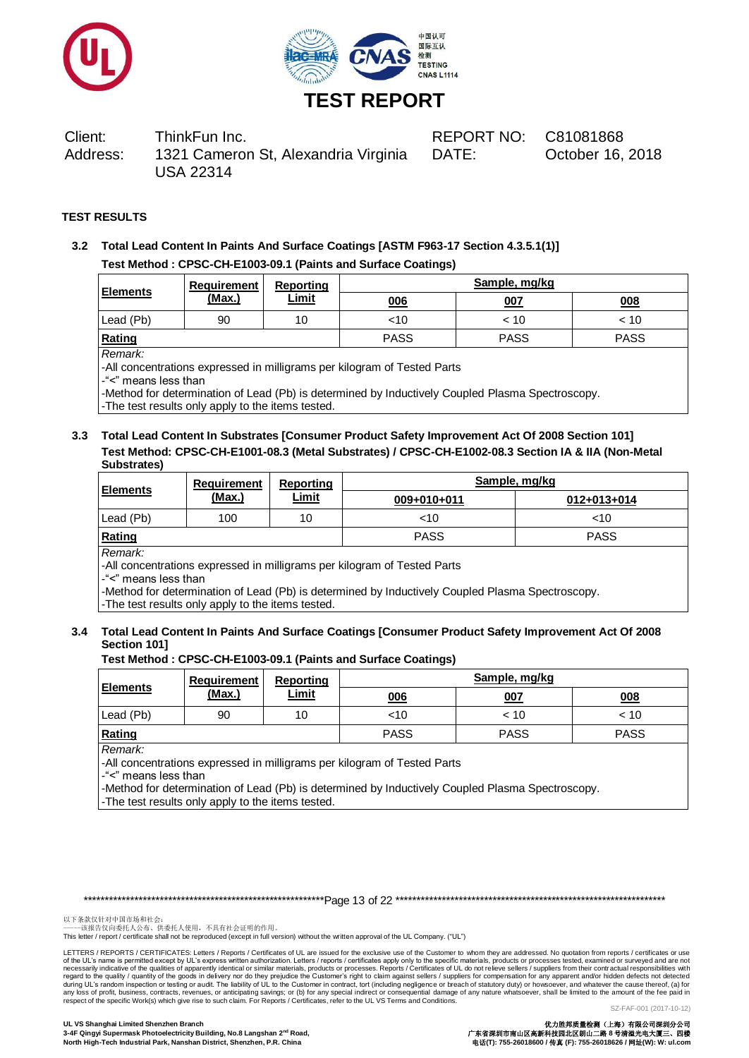



DATE: October 16, 2018

#### **TEST RESULTS**

**3.2 Total Lead Content In Paints And Surface Coatings [ASTM F963-17 Section 4.3.5.1(1)] Test Method : CPSC-CH-E1003-09.1 (Paints and Surface Coatings)**

| <b>Elements</b> | Requirement | Reporting    | Sample, mg/kg |             |             |  |  |
|-----------------|-------------|--------------|---------------|-------------|-------------|--|--|
|                 | (Max.)      | <u>Limit</u> | 006           | 007         | 008         |  |  |
| Lead (Pb)       | 90          | 10           | <10           | < 10        | < 10        |  |  |
| Rating          |             |              | <b>PASS</b>   | <b>PASS</b> | <b>PASS</b> |  |  |

#### *Remark:*

-All concentrations expressed in milligrams per kilogram of Tested Parts

-"<" means less than

-Method for determination of Lead (Pb) is determined by Inductively Coupled Plasma Spectroscopy. -The test results only apply to the items tested.

#### **3.3 Total Lead Content In Substrates [Consumer Product Safety Improvement Act Of 2008 Section 101] Test Method: CPSC-CH-E1001-08.3 (Metal Substrates) / CPSC-CH-E1002-08.3 Section IA & IIA (Non-Metal Substrates)**

| <b>Elements</b>                                                                     | Requirement   | Reporting    | Sample, mg/kg |             |  |  |  |
|-------------------------------------------------------------------------------------|---------------|--------------|---------------|-------------|--|--|--|
|                                                                                     | <u>(Max.)</u> | <b>Limit</b> | 009+010+011   | 012+013+014 |  |  |  |
| Lead (Pb)                                                                           | 100           | 10           | $<$ 10        | ~10         |  |  |  |
| Rating                                                                              |               |              | <b>PASS</b>   | <b>PASS</b> |  |  |  |
| Remark:<br>-All concentrations expressed in milligrams per kilogram of Tested Parts |               |              |               |             |  |  |  |

-"<" means less than

-Method for determination of Lead (Pb) is determined by Inductively Coupled Plasma Spectroscopy.

-The test results only apply to the items tested.

# **3.4 Total Lead Content In Paints And Surface Coatings [Consumer Product Safety Improvement Act Of 2008 Section 101]**

#### **Test Method : CPSC-CH-E1003-09.1 (Paints and Surface Coatings)**

| <b>Elements</b>                                                                                             | Requirement | <b>Reporting</b><br><b>Limit</b> | Sample, mg/kg |             |             |  |  |
|-------------------------------------------------------------------------------------------------------------|-------------|----------------------------------|---------------|-------------|-------------|--|--|
|                                                                                                             | (Max.)      |                                  | 006           | 007         | 008         |  |  |
| Lead (Pb)                                                                                                   | 90          | 10                               | $<$ 10        | < 10        | < 10        |  |  |
| Rating                                                                                                      |             |                                  | <b>PASS</b>   | <b>PASS</b> | <b>PASS</b> |  |  |
| Remark:<br>. All the contract the contract of the contract of the contract of $\pm$ . The contract of $\pm$ |             |                                  |               |             |             |  |  |

-All concentrations expressed in milligrams per kilogram of Tested Parts

-"<" means less than

-Method for determination of Lead (Pb) is determined by Inductively Coupled Plasma Spectroscopy.

-The test results only apply to the items tested.

\*\*\*\*\*\*\*\*\*\*\*\*\*\*\*\*\*\*\*\*\*\*\*\*\*\*\*\*\*\*\*\*\*\*\*\*\*\*\*\*\*\*\*\*\*\*\*\*\*\*\*\*\*\*\*\*\*Page 13 of 22 \*\*\*\*\*\*\*\*\*\*\*\*\*\*\*\*\*\*\*\*\*\*\*\*\*\*\*\*\*\*\*\*\*\*\*\*\*\*\*\*\*\*\*\*\*\*\*\*\*\*\*\*\*\*\*\*\*\*\*\*\*\*\*\*

以下条款仅针对中国市场和社会:<br>-----该报告仅向委托人公布、供委托人使用,不具有社会证明的作用。

This letter / report / certificate shall not be reproduced (except in full version) without the written approval of the UL Company. ("UL")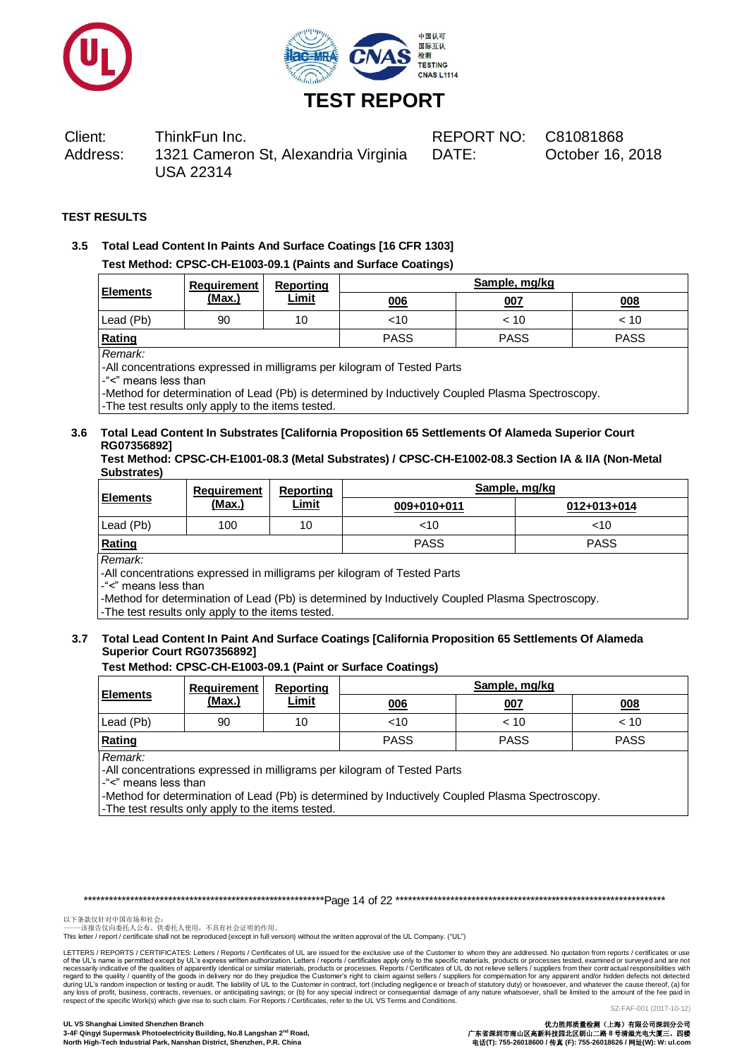



DATE: October 16, 2018

#### **TEST RESULTS**

**3.5 Total Lead Content In Paints And Surface Coatings [16 CFR 1303] Test Method: CPSC-CH-E1003-09.1 (Paints and Surface Coatings)**

| <b>Elements</b> | Requirement | Reporting    | Sample, mg/kg |             |             |  |
|-----------------|-------------|--------------|---------------|-------------|-------------|--|
|                 | (Max.)      | <b>Limit</b> | 006           | 007         | 008         |  |
| Lead (Pb)       | 90          | 10           | <10           | < 10        | < 10        |  |
| Rating          |             |              | <b>PASS</b>   | <b>PASS</b> | <b>PASS</b> |  |

#### *Remark:*

-All concentrations expressed in milligrams per kilogram of Tested Parts

-"<" means less than

-Method for determination of Lead (Pb) is determined by Inductively Coupled Plasma Spectroscopy. -The test results only apply to the items tested.

## **3.6 Total Lead Content In Substrates [California Proposition 65 Settlements Of Alameda Superior Court RG07356892]**

**Test Method: CPSC-CH-E1001-08.3 (Metal Substrates) / CPSC-CH-E1002-08.3 Section IA & IIA (Non-Metal Substrates)**

| <b>Elements</b> | Requirement | Reporting    | Sample, mg/kg |             |  |  |
|-----------------|-------------|--------------|---------------|-------------|--|--|
|                 | (Max.)      | <u>Limit</u> | 009+010+011   | 012+013+014 |  |  |
| Lead (Pb)       | 100         | 10           | $<$ 10        | ~10         |  |  |
| Rating          |             |              | <b>PASS</b>   | <b>PASS</b> |  |  |
| __              |             |              |               |             |  |  |

*Remark:*

-All concentrations expressed in milligrams per kilogram of Tested Parts

-"<" means less than

-Method for determination of Lead (Pb) is determined by Inductively Coupled Plasma Spectroscopy.

-The test results only apply to the items tested.

#### **3.7 Total Lead Content In Paint And Surface Coatings [California Proposition 65 Settlements Of Alameda Superior Court RG07356892]**

#### **Test Method: CPSC-CH-E1003-09.1 (Paint or Surface Coatings)**

| <b>Elements</b> | Requirement | <b>Reporting</b> | Sample, mg/kg |             |      |  |
|-----------------|-------------|------------------|---------------|-------------|------|--|
|                 | (Max.)      | <u>Limit</u>     | 006           | 007         | 008  |  |
| Lead (Pb)       | 90          | 10               | <10           | $~<$ 10     | < 10 |  |
| Rating          |             | <b>PASS</b>      | <b>PASS</b>   | <b>PASS</b> |      |  |

*Remark:*

-All concentrations expressed in milligrams per kilogram of Tested Parts

-"<" means less than

-Method for determination of Lead (Pb) is determined by Inductively Coupled Plasma Spectroscopy.

-The test results only apply to the items tested.

\*\*\*\*\*\*\*\*\*\*\*\*\*\*\*\*\*\*\*\*\*\*\*\*\*\*\*\*\*\*\*\*\*\*\*\*\*\*\*\*\*\*\*\*\*\*\*\*\*\*\*\*\*\*\*\*\*Page 14 of 22 \*\*\*\*\*\*\*\*\*\*\*\*\*\*\*\*\*\*\*\*\*\*\*\*\*\*\*\*\*\*\*\*\*\*\*\*\*\*\*\*\*\*\*\*\*\*\*\*\*\*\*\*\*\*\*\*\*\*\*\*\*\*\*\*

以下条款仅针对中国市场和社会:<br>-----该报告仅向委托人公布、供委托人使用,不具有社会证明的作用。

This letter / report / certificate shall not be reproduced (except in full version) without the written approval of the UL Company. ("UL")

LETTERS / REPORTS / CERTIFICATES: Letters / Reports / Certificates of UL are issued for the exclusive use of the Customer to whom they are addressed. No quotation from reports / certificates or use of the UL's name is permitted except by UL's express written authorization. Letters / reports / certificates apply only to the specific materials, products or processes tested, examined or surveyed and are not necessarily indicative of the qualities of apparently identical or similar materials, products or processes. Reports / Certificates of UL do not relieve sellers / suppliers from their contractual responsibilities with<br>duri respect of the specific Work(s) which give rise to such claim. For Reports / Certificates, refer to the UL VS Terms and Conditions.

SZ-FAF-001 (2017-10-12)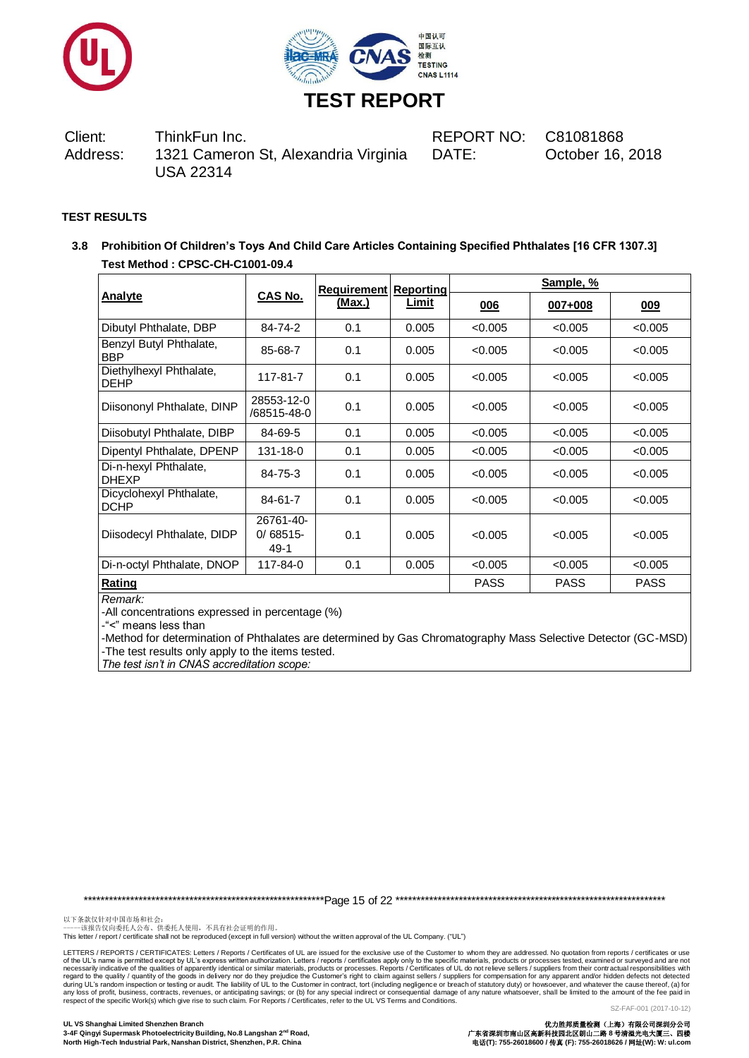



DATE: October 16, 2018

#### **TEST RESULTS**

**3.8 Prohibition Of Children's Toys And Child Care Articles Containing Specified Phthalates [16 CFR 1307.3] Test Method : CPSC-CH-C1001-09.4**

|                                        |                                  | <b>Requirement Reporting</b> |             | Sample, %   |             |         |  |
|----------------------------------------|----------------------------------|------------------------------|-------------|-------------|-------------|---------|--|
| Analyte                                | CAS No.                          | (Max.)                       | Limit       | 006         | $007 + 008$ | 009     |  |
| Dibutyl Phthalate, DBP                 | 84-74-2                          | 0.1                          | 0.005       | < 0.005     | < 0.005     | < 0.005 |  |
| Benzyl Butyl Phthalate,<br><b>BBP</b>  | 85-68-7                          | 0.1                          | 0.005       | < 0.005     | < 0.005     | < 0.005 |  |
| Diethylhexyl Phthalate,<br><b>DEHP</b> | 117-81-7                         | 0.1                          | 0.005       | < 0.005     | < 0.005     | < 0.005 |  |
| Diisononyl Phthalate, DINP             | 28553-12-0<br>/68515-48-0        | 0.1                          | 0.005       | < 0.005     | < 0.005     | < 0.005 |  |
| Diisobutyl Phthalate, DIBP             | 84-69-5                          | 0.1                          | 0.005       | < 0.005     | < 0.005     | < 0.005 |  |
| Dipentyl Phthalate, DPENP              | 131-18-0                         | 0.1                          | 0.005       | < 0.005     | < 0.005     | < 0.005 |  |
| Di-n-hexyl Phthalate,<br><b>DHEXP</b>  | 84-75-3                          | 0.1                          | 0.005       | < 0.005     | < 0.005     | < 0.005 |  |
| Dicyclohexyl Phthalate,<br><b>DCHP</b> | 84-61-7                          | 0.1                          | 0.005       | < 0.005     | < 0.005     | < 0.005 |  |
| Diisodecyl Phthalate, DIDP             | 26761-40-<br>$0/68515$ -<br>49-1 | 0.1                          | 0.005       | < 0.005     | < 0.005     | < 0.005 |  |
| Di-n-octyl Phthalate, DNOP             | 117-84-0                         | 0.1                          | 0.005       | < 0.005     | < 0.005     | < 0.005 |  |
| Rating                                 |                                  |                              | <b>PASS</b> | <b>PASS</b> | <b>PASS</b> |         |  |

*Remark:*

-All concentrations expressed in percentage (%)

-"<" means less than

-Method for determination of Phthalates are determined by Gas Chromatography Mass Selective Detector (GC-MSD) -The test results only apply to the items tested.

*The test isn't in CNAS accreditation scope:*

\*\*\*\*\*\*\*\*\*\*\*\*\*\*\*\*\*\*\*\*\*\*\*\*\*\*\*\*\*\*\*\*\*\*\*\*\*\*\*\*\*\*\*\*\*\*\*\*\*\*\*\*\*\*\*\*\*Page 15 of 22 \*\*\*\*\*\*\*\*\*\*\*\*\*\*\*\*\*\*\*\*\*\*\*\*\*\*\*\*\*\*\*\*\*\*\*\*\*\*\*\*\*\*\*\*\*\*\*\*\*\*\*\*\*\*\*\*\*\*\*\*\*\*\*\*

以下条款仅针对中国市场和社会:<br>-----该报告仅向委托人公布、供委托人使用,不具有社会证明的作用。

This letter / report / certificate shall not be reproduced (except in full version) without the written approval of the UL Company. ("UL")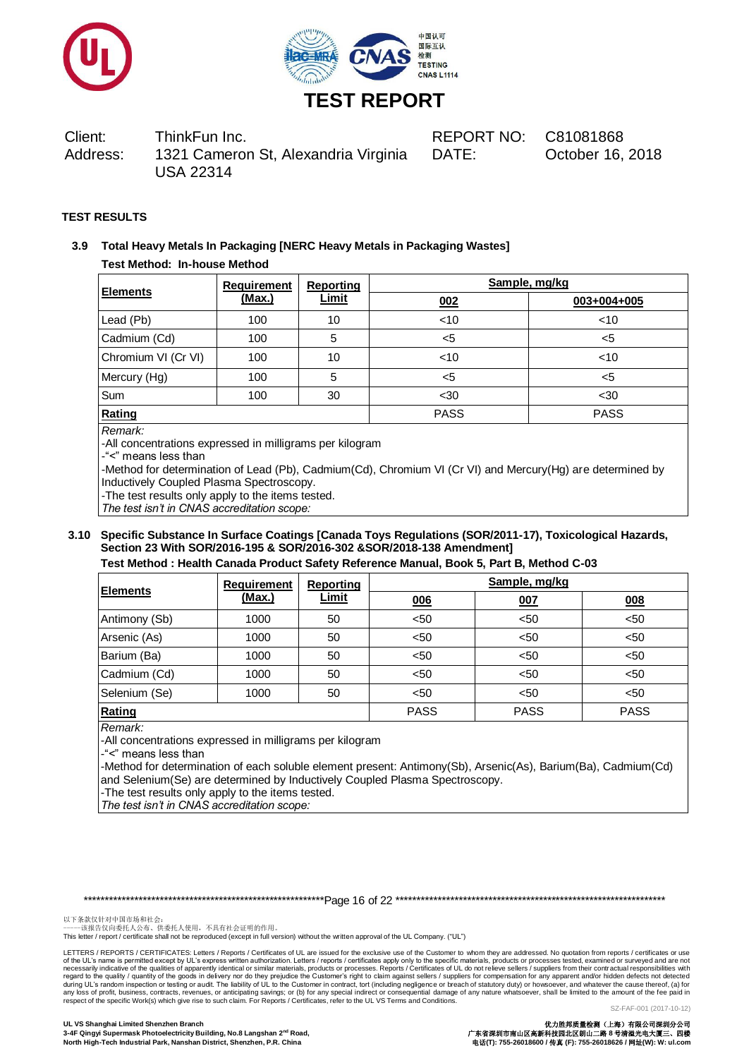



DATE: October 16, 2018

#### **TEST RESULTS**

# **3.9 Total Heavy Metals In Packaging [NERC Heavy Metals in Packaging Wastes] Test Method: In-house Method**

|                     | <b>Requirement</b> | <b>Reporting</b> | Sample, mg/kg |             |  |
|---------------------|--------------------|------------------|---------------|-------------|--|
| <b>Elements</b>     | (Max.)             | <b>Limit</b>     | 002           | 003+004+005 |  |
| Lead (Pb)           | 100                | 10               | < 10          | $<$ 10      |  |
| Cadmium (Cd)        | 100                | 5                | $5$           | $<$ 5       |  |
| Chromium VI (Cr VI) | 100                | 10               | $<$ 10        | $<$ 10      |  |
| Mercury (Hg)        | 100                | 5                | $<$ 5         | <5          |  |
| Sum                 | 100                | 30               | $30$          | $30$        |  |
| Rating              |                    |                  | <b>PASS</b>   | <b>PASS</b> |  |

*Remark:*

-All concentrations expressed in milligrams per kilogram

-"<" means less than

-Method for determination of Lead (Pb), Cadmium(Cd), Chromium VI (Cr VI) and Mercury(Hg) are determined by Inductively Coupled Plasma Spectroscopy.

-The test results only apply to the items tested.

*The test isn't in CNAS accreditation scope:*

#### **3.10 Specific Substance In Surface Coatings [Canada Toys Regulations (SOR/2011-17), Toxicological Hazards, Section 23 With SOR/2016-195 & SOR/2016-302 &SOR/2018-138 Amendment] Test Method : Health Canada Product Safety Reference Manual, Book 5, Part B, Method C-03**

|                 | <b>Requirement</b> | <b>Reporting</b> | Sample, mg/kg |             |             |  |
|-----------------|--------------------|------------------|---------------|-------------|-------------|--|
| <b>Elements</b> | <u>(Max.)</u>      | <b>Limit</b>     | 006           | 007         | 008         |  |
| Antimony (Sb)   | 1000               | 50               | $50$          | < 50        | < 50        |  |
| Arsenic (As)    | 1000               | 50               | $50$          | < 50        | < 50        |  |
| Barium (Ba)     | 1000               | 50               | $50$          | < 50        | < 50        |  |
| Cadmium (Cd)    | 1000               | 50               | $50$          | < 50        | < 50        |  |
| Selenium (Se)   | 1000               | 50               | $50$          | < 50        | < 50        |  |
| Rating          |                    |                  | <b>PASS</b>   | <b>PASS</b> | <b>PASS</b> |  |

*Remark:*

-All concentrations expressed in milligrams per kilogram

-"<" means less than

-Method for determination of each soluble element present: Antimony(Sb), Arsenic(As), Barium(Ba), Cadmium(Cd) and Selenium(Se) are determined by Inductively Coupled Plasma Spectroscopy.

-The test results only apply to the items tested.

*The test isn't in CNAS accreditation scope:*

\*\*\*\*\*\*\*\*\*\*\*\*\*\*\*\*\*\*\*\*\*\*\*\*\*\*\*\*\*\*\*\*\*\*\*\*\*\*\*\*\*\*\*\*\*\*\*\*\*\*\*\*\*\*\*\*\*Page 16 of 22 \*\*\*\*\*\*\*\*\*\*\*\*\*\*\*\*\*\*\*\*\*\*\*\*\*\*\*\*\*\*\*\*\*\*\*\*\*\*\*\*\*\*\*\*\*\*\*\*\*\*\*\*\*\*\*\*\*\*\*\*\*\*\*\*

以下条款仅针对中国市场和社会:<br>-----该报告仅向委托人公布、供委托人使用,不具有社会证明的作用。

This letter / report / certificate shall not be reproduced (except in full version) without the written approval of the UL Company. ("UL")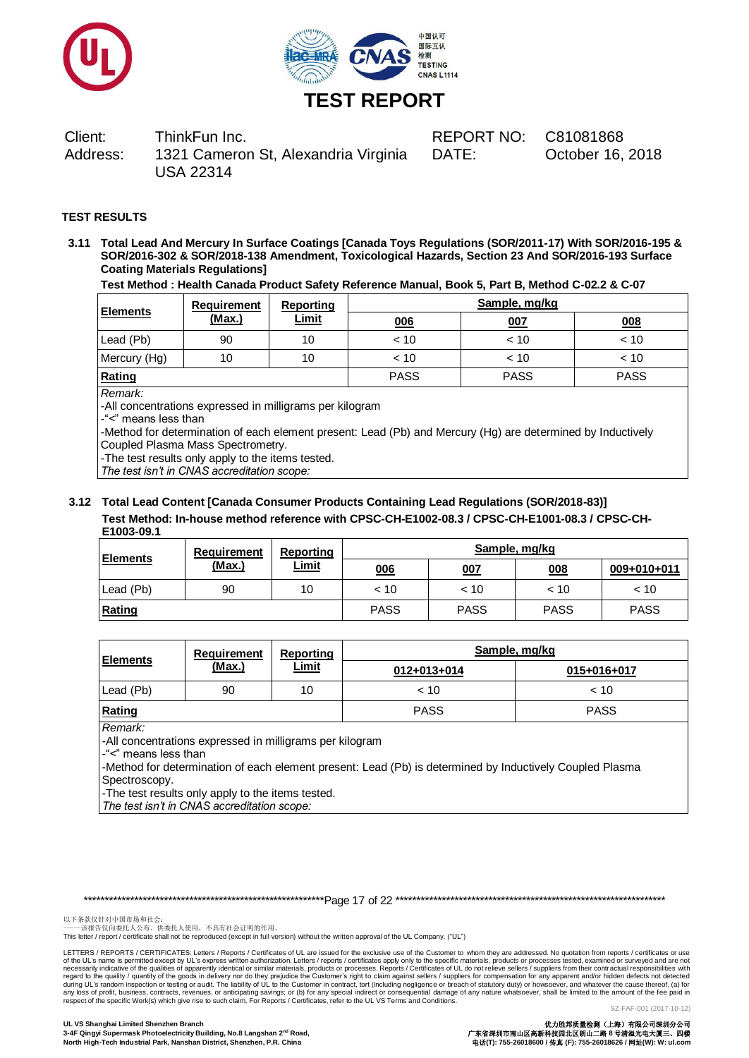



DATE: October 16, 2018

#### **TEST RESULTS**

**3.11 Total Lead And Mercury In Surface Coatings [Canada Toys Regulations (SOR/2011-17) With SOR/2016-195 & SOR/2016-302 & SOR/2018-138 Amendment, Toxicological Hazards, Section 23 And SOR/2016-193 Surface Coating Materials Regulations]** 

**Test Method : Health Canada Product Safety Reference Manual, Book 5, Part B, Method C-02.2 & C-07**

| <b>Elements</b> | Requirement | Reporting    |             | Sample, mg/kg |             |  |  |  |
|-----------------|-------------|--------------|-------------|---------------|-------------|--|--|--|
|                 | (Max.)      | <u>Limit</u> | 006         | <u>007</u>    | 008         |  |  |  |
| Lead (Pb)       | 90          | 10           | ~< 10       | $~<$ 10       | < 10        |  |  |  |
| Mercury (Hg)    | 10          | 10           | ~< 10       | $~<$ 10       | < 10        |  |  |  |
| Rating          |             |              | <b>PASS</b> | <b>PASS</b>   | <b>PASS</b> |  |  |  |

*Remark:*

-All concentrations expressed in milligrams per kilogram

-"<" means less than

-Method for determination of each element present: Lead (Pb) and Mercury (Hg) are determined by Inductively Coupled Plasma Mass Spectrometry.

-The test results only apply to the items tested.

*The test isn't in CNAS accreditation scope:*

#### **3.12 Total Lead Content [Canada Consumer Products Containing Lead Regulations (SOR/2018-83)] Test Method: In-house method reference with CPSC-CH-E1002-08.3 / CPSC-CH-E1001-08.3 / CPSC-CH-E1003-09.1**

| <b>Elements</b> | Requirement | Reporting    |             | Sample, mg/kg |             |             |  |  |
|-----------------|-------------|--------------|-------------|---------------|-------------|-------------|--|--|
|                 | (Max.)      | <u>Limit</u> | 006         | 007           | 008         | 009+010+011 |  |  |
| Lead (Pb)       | 90          | 10           | < 10        | < 10          | ~10         | < 10        |  |  |
| Rating          |             |              | <b>PASS</b> | <b>PASS</b>   | <b>PASS</b> | <b>PASS</b> |  |  |

| <b>Elements</b> | Requirement   | Reporting<br><u>Limit</u> | Sample, mg/kg |             |  |
|-----------------|---------------|---------------------------|---------------|-------------|--|
|                 | <u>(Max.)</u> |                           | 012+013+014   | 015+016+017 |  |
| Lead (Pb)       | 90            | 10                        | < 10          | ~10         |  |
| Rating          |               |                           | <b>PASS</b>   | <b>PASS</b> |  |

*Remark:*

-All concentrations expressed in milligrams per kilogram

-"<" means less than

-Method for determination of each element present: Lead (Pb) is determined by Inductively Coupled Plasma Spectroscopy.

-The test results only apply to the items tested.

*The test isn't in CNAS accreditation scope:*

\*\*\*\*\*\*\*\*\*\*\*\*\*\*\*\*\*\*\*\*\*\*\*\*\*\*\*\*\*\*\*\*\*\*\*\*\*\*\*\*\*\*\*\*\*\*\*\*\*\*\*\*\*\*\*\*\*Page 17 of 22 \*\*\*\*\*\*\*\*\*\*\*\*\*\*\*\*\*\*\*\*\*\*\*\*\*\*\*\*\*\*\*\*\*\*\*\*\*\*\*\*\*\*\*\*\*\*\*\*\*\*\*\*\*\*\*\*\*\*\*\*\*\*\*\*

以下条款仅针对中国市场和社会:<br>-----该报告仅向委托人公布、供委托人使用,不具有社会证明的作用。

This letter / report / certificate shall not be reproduced (except in full version) without the written approval of the UL Company. ("UL")

LETTERS / REPORTS / CERTIFICATES: Letters / Reports / Certificates of UL are issued for the exclusive use of the Customer to whom they are addressed. No quotation from reports / certificates or use of the UL's name is permitted except by UL's express written authorization. Letters / reports / certificates apply only to the specific materials, products or processes tested, examined or surveyed and are not necessarily indicative of the qualities of apparently identical or similar materials, products or processes. Reports / Certificates of UL do not relieve sellers / suppliers from their contractual responsibilities with<br>duri respect of the specific Work(s) which give rise to such claim. For Reports / Certificates, refer to the UL VS Terms and Conditions.

SZ-FAF-001 (2017-10-12)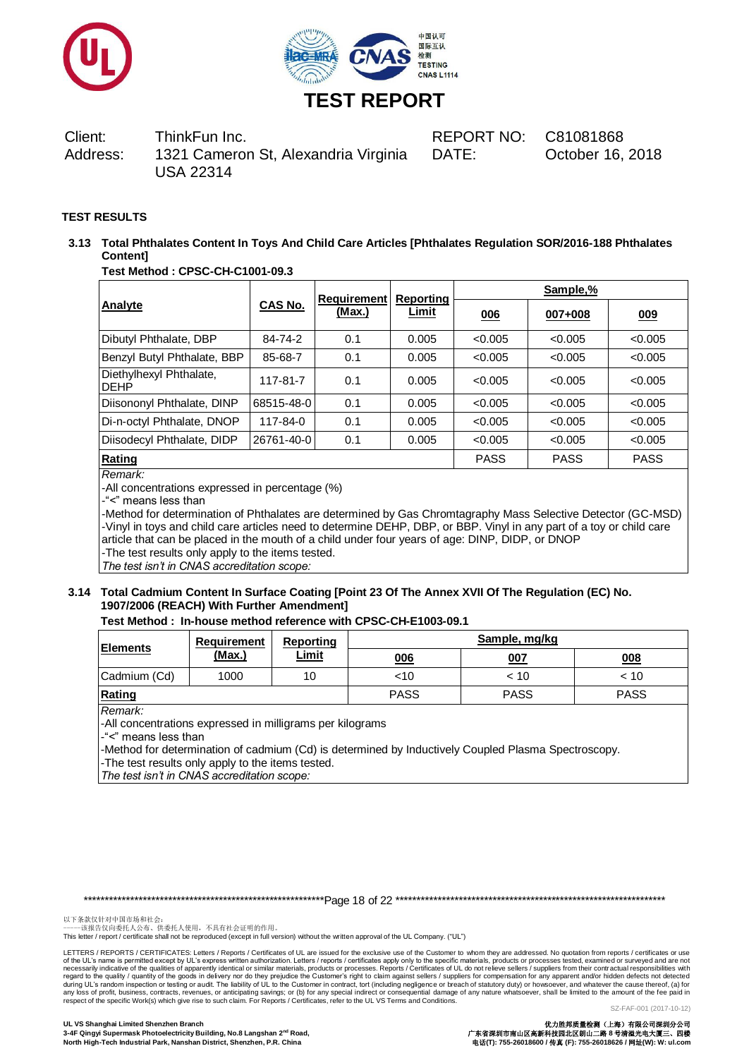



DATE: October 16, 2018

# **TEST RESULTS**

**3.13 Total Phthalates Content In Toys And Child Care Articles [Phthalates Regulation SOR/2016-188 Phthalates Content]**

## **Test Method : CPSC-CH-C1001-09.3**

|                                        |             | <b>Requirement</b> | <b>Reporting</b> | Sample,% |         |         |
|----------------------------------------|-------------|--------------------|------------------|----------|---------|---------|
| Analyte                                | CAS No.     | (Max.)             | Limit            | 006      | 007+008 | 009     |
| Dibutyl Phthalate, DBP                 | 84-74-2     | 0.1                | 0.005            | < 0.005  | < 0.005 | < 0.005 |
| Benzyl Butyl Phthalate, BBP            | 85-68-7     | 0.1                | 0.005            | < 0.005  | < 0.005 | < 0.005 |
| Diethylhexyl Phthalate,<br><b>DEHP</b> | 117-81-7    | 0.1                | 0.005            | < 0.005  | < 0.005 | < 0.005 |
| Diisononyl Phthalate, DINP             | 68515-48-0  | 0.1                | 0.005            | < 0.005  | < 0.005 | < 0.005 |
| Di-n-octyl Phthalate, DNOP             | 117-84-0    | 0.1                | 0.005            | < 0.005  | < 0.005 | < 0.005 |
| Diisodecyl Phthalate, DIDP             | 26761-40-0  | 0.1                | 0.005            | < 0.005  | < 0.005 | < 0.005 |
| Rating                                 | <b>PASS</b> | <b>PASS</b>        | <b>PASS</b>      |          |         |         |

# *Remark:*

-All concentrations expressed in percentage (%)

-"<" means less than

-Method for determination of Phthalates are determined by Gas Chromtagraphy Mass Selective Detector (GC-MSD) -Vinyl in toys and child care articles need to determine DEHP, DBP, or BBP. Vinyl in any part of a toy or child care article that can be placed in the mouth of a child under four years of age: DINP, DIDP, or DNOP -The test results only apply to the items tested.

*The test isn't in CNAS accreditation scope:*

#### **3.14 Total Cadmium Content In Surface Coating [Point 23 Of The Annex XVII Of The Regulation (EC) No. 1907/2006 (REACH) With Further Amendment]**

#### **Test Method : In-house method reference with CPSC-CH-E1003-09.1**

| <b>Elements</b> | Requirement<br>Reporting |              | Sample, mg/kg |             |             |  |
|-----------------|--------------------------|--------------|---------------|-------------|-------------|--|
|                 | (Max.)                   | <u>Limit</u> | 006           | 007         | 008         |  |
| Cadmium (Cd)    | 1000                     | 10           | $<$ 10        | < 10        | < 10        |  |
| Rating          |                          |              | <b>PASS</b>   | <b>PASS</b> | <b>PASS</b> |  |

*Remark:*

-All concentrations expressed in milligrams per kilograms

-"<" means less than

-Method for determination of cadmium (Cd) is determined by Inductively Coupled Plasma Spectroscopy.

-The test results only apply to the items tested.

*The test isn't in CNAS accreditation scope:*

\*\*\*\*\*\*\*\*\*\*\*\*\*\*\*\*\*\*\*\*\*\*\*\*\*\*\*\*\*\*\*\*\*\*\*\*\*\*\*\*\*\*\*\*\*\*\*\*\*\*\*\*\*\*\*\*\*Page 18 of 22 \*\*\*\*\*\*\*\*\*\*\*\*\*\*\*\*\*\*\*\*\*\*\*\*\*\*\*\*\*\*\*\*\*\*\*\*\*\*\*\*\*\*\*\*\*\*\*\*\*\*\*\*\*\*\*\*\*\*\*\*\*\*\*\*

以下条款仅针对中国市场和社会:<br>-----该报告仅向委托人公布、供委托人使用,不具有社会证明的作用。

This letter / report / certificate shall not be reproduced (except in full version) without the written approval of the UL Company. ("UL")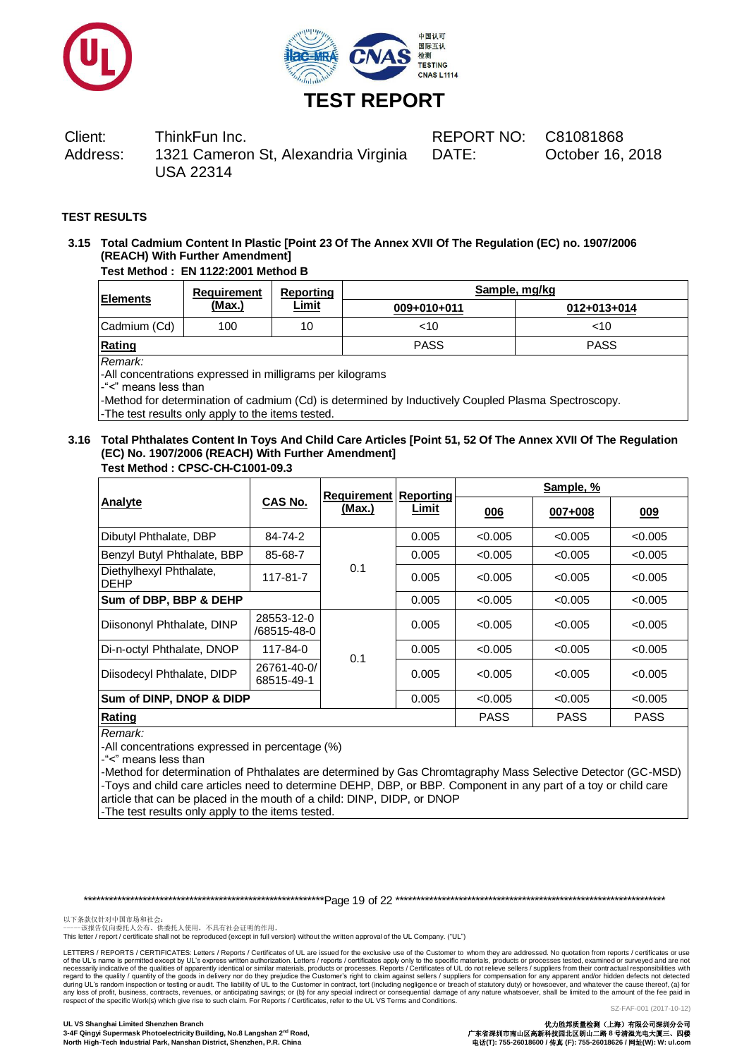



DATE: October 16, 2018

## **TEST RESULTS**

# **3.15 Total Cadmium Content In Plastic [Point 23 Of The Annex XVII Of The Regulation (EC) no. 1907/2006 (REACH) With Further Amendment]**

# **Test Method : EN 1122:2001 Method B**

| <b>Elements</b> | Requirement | Reporting<br><u>Limit</u> | Sample, mg/kg |             |  |
|-----------------|-------------|---------------------------|---------------|-------------|--|
|                 | (Max.)      |                           | 009+010+011   | 012+013+014 |  |
| Cadmium (Cd)    | 100         | 10                        | <10           | ~10         |  |
| Rating          |             |                           | <b>PASS</b>   | <b>PASS</b> |  |

*Remark:*

-All concentrations expressed in milligrams per kilograms

-"<" means less than

-Method for determination of cadmium (Cd) is determined by Inductively Coupled Plasma Spectroscopy. -The test results only apply to the items tested.

#### **3.16 Total Phthalates Content In Toys And Child Care Articles [Point 51, 52 Of The Annex XVII Of The Regulation (EC) No. 1907/2006 (REACH) With Further Amendment] Test Method : CPSC-CH-C1001-09.3**

|                                                         |                | <b>Requirement Reporting</b> |             | Sample, %   |             |         |
|---------------------------------------------------------|----------------|------------------------------|-------------|-------------|-------------|---------|
| Analyte                                                 | <b>CAS No.</b> | (Max.)                       | Limit       | 006         | 007+008     | 009     |
| Dibutyl Phthalate, DBP                                  | 84-74-2        |                              | 0.005       | < 0.005     | < 0.005     | < 0.005 |
| Benzyl Butyl Phthalate, BBP<br>85-68-7                  |                |                              | 0.005       | < 0.005     | < 0.005     | < 0.005 |
| Diethylhexyl Phthalate,<br>117-81-7<br><b>DEHP</b>      |                | 0.1                          | 0.005       | < 0.005     | < 0.005     | < 0.005 |
| Sum of DBP, BBP & DEHP                                  |                |                              |             | < 0.005     | < 0.005     | < 0.005 |
| 28553-12-0<br>Diisononyl Phthalate, DINP<br>/68515-48-0 |                |                              | 0.005       | < 0.005     | < 0.005     | < 0.005 |
| Di-n-octyl Phthalate, DNOP                              | 117-84-0       |                              | 0.005       | < 0.005     | < 0.005     | < 0.005 |
| 26761-40-0/<br>Diisodecyl Phthalate, DIDP<br>68515-49-1 |                | 0.1                          | 0.005       | < 0.005     | < 0.005     | < 0.005 |
| Sum of DINP, DNOP & DIDP                                |                | 0.005                        | < 0.005     | < 0.005     | < 0.005     |         |
| Rating                                                  |                |                              | <b>PASS</b> | <b>PASS</b> | <b>PASS</b> |         |

# *Remark:*

-All concentrations expressed in percentage (%)

-"<" means less than

-Method for determination of Phthalates are determined by Gas Chromtagraphy Mass Selective Detector (GC-MSD) -Toys and child care articles need to determine DEHP, DBP, or BBP. Component in any part of a toy or child care article that can be placed in the mouth of a child: DINP, DIDP, or DNOP

-The test results only apply to the items tested.

\*\*\*\*\*\*\*\*\*\*\*\*\*\*\*\*\*\*\*\*\*\*\*\*\*\*\*\*\*\*\*\*\*\*\*\*\*\*\*\*\*\*\*\*\*\*\*\*\*\*\*\*\*\*\*\*\*Page 19 of 22 \*\*\*\*\*\*\*\*\*\*\*\*\*\*\*\*\*\*\*\*\*\*\*\*\*\*\*\*\*\*\*\*\*\*\*\*\*\*\*\*\*\*\*\*\*\*\*\*\*\*\*\*\*\*\*\*\*\*\*\*\*\*\*\*

以下条款仅针对中国市场和社会:<br>-----该报告仅向委托人公布、供委托人使用,不具有社会证明的作用。

This letter / report / certificate shall not be reproduced (except in full version) without the written approval of the UL Company. ("UL")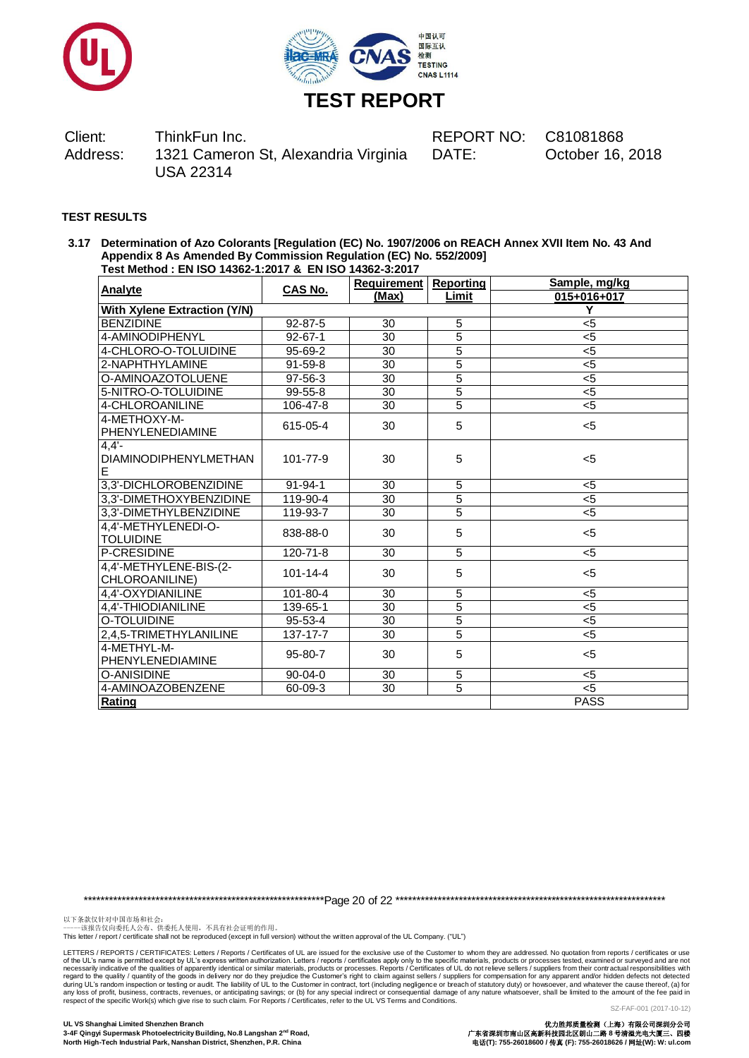



DATE: October 16, 2018

#### **TEST RESULTS**

**3.17 Determination of Azo Colorants [Regulation (EC) No. 1907/2006 on REACH Annex XVII Item No. 43 And Appendix 8 As Amended By Commission Regulation (EC) No. 552/2009] Test Method : EN ISO 14362-1:2017 & EN ISO 14362-3:2017** 

| <b>Analyte</b>                                | CAS No.        | <b>Requirement</b> | <b>Reporting</b> | Sample, mg/kg |
|-----------------------------------------------|----------------|--------------------|------------------|---------------|
|                                               |                | (Max)              | Limit            | 015+016+017   |
| <b>With Xylene Extraction (Y/N)</b>           |                | Y                  |                  |               |
| <b>BENZIDINE</b>                              | 92-87-5        | 30                 | 5                | $5$           |
| 4-AMINODIPHENYL                               | $92 - 67 - 1$  | 30                 | 5                | $5$           |
| 4-CHLORO-O-TOLUIDINE                          | 95-69-2        | 30                 | $\overline{5}$   | $5$           |
| 2-NAPHTHYLAMINE                               | $91 - 59 - 8$  | 30                 | $\overline{5}$   | $5$           |
| O-AMINOAZOTOLUENE                             | 97-56-3        | 30                 | $\overline{5}$   | $5$           |
| 5-NITRO-O-TOLUIDINE                           | $99 - 55 - 8$  | 30                 | $\overline{5}$   | $<$ 5         |
| 4-CHLOROANILINE                               | 106-47-8       | 30                 | 5                | $5$           |
| 4-METHOXY-M-<br>PHENYLENEDIAMINE              | 615-05-4       | 30                 | 5                | $5$           |
| $4,4'$ -<br><b>DIAMINODIPHENYLMETHAN</b><br>E | 101-77-9       | 30                 | 5                | $<$ 5         |
| 3,3'-DICHLOROBENZIDINE                        | $91 - 94 - 1$  | 30                 | 5                | $<$ 5         |
| 3,3'-DIMETHOXYBENZIDINE                       | 119-90-4       | 30                 | 5                | $5$           |
| 3,3'-DIMETHYLBENZIDINE                        | 119-93-7       | 30                 | $\overline{5}$   | $5$           |
| 4.4'-METHYLENEDI-O-<br><b>TOLUIDINE</b>       | 838-88-0       | 30                 | 5                | $<$ 5         |
| P-CRESIDINE                                   | 120-71-8       | 30                 | 5                | $5$           |
| 4,4'-METHYLENE-BIS-(2-<br>CHLOROANILINE)      | $101 - 14 - 4$ | 30                 | 5                | $5$           |
| 4,4'-OXYDIANILINE                             | 101-80-4       | 30                 | 5                | $5$           |
| 4,4'-THIODIANILINE                            | 139-65-1       | 30                 | $\overline{5}$   | < 5           |
| O-TOLUIDINE                                   | 95-53-4        | 30                 | $\overline{5}$   | < 5           |
| 2,4,5-TRIMETHYLANILINE                        | 137-17-7       | 30                 | $\overline{5}$   | $5$           |
| 4-METHYL-M-<br>PHENYLENEDIAMINE               | 95-80-7        | 30                 | 5                | $5$           |
| O-ANISIDINE                                   | $90 - 04 - 0$  | 30                 | 5                | $5$           |
| 4-AMINOAZOBENZENE                             | 60-09-3        | 30                 | $\overline{5}$   | $5$           |
| Rating                                        | <b>PASS</b>    |                    |                  |               |

\*\*\*\*\*\*\*\*\*\*\*\*\*\*\*\*\*\*\*\*\*\*\*\*\*\*\*\*\*\*\*\*\*\*\*\*\*\*\*\*\*\*\*\*\*\*\*\*\*\*\*\*\*\*\*\*\*Page 20 of 22 \*\*\*\*\*\*\*\*\*\*\*\*\*\*\*\*\*\*\*\*\*\*\*\*\*\*\*\*\*\*\*\*\*\*\*\*\*\*\*\*\*\*\*\*\*\*\*\*\*\*\*\*\*\*\*\*\*\*\*\*\*\*\*\*

以下条款仅针对中国市场和社会:<br>-----该报告仅向委托人公布、供委托人使用,不具有社会证明的作用。

This letter / report / certificate shall not be reproduced (except in full version) without the written approval of the UL Company. ("UL")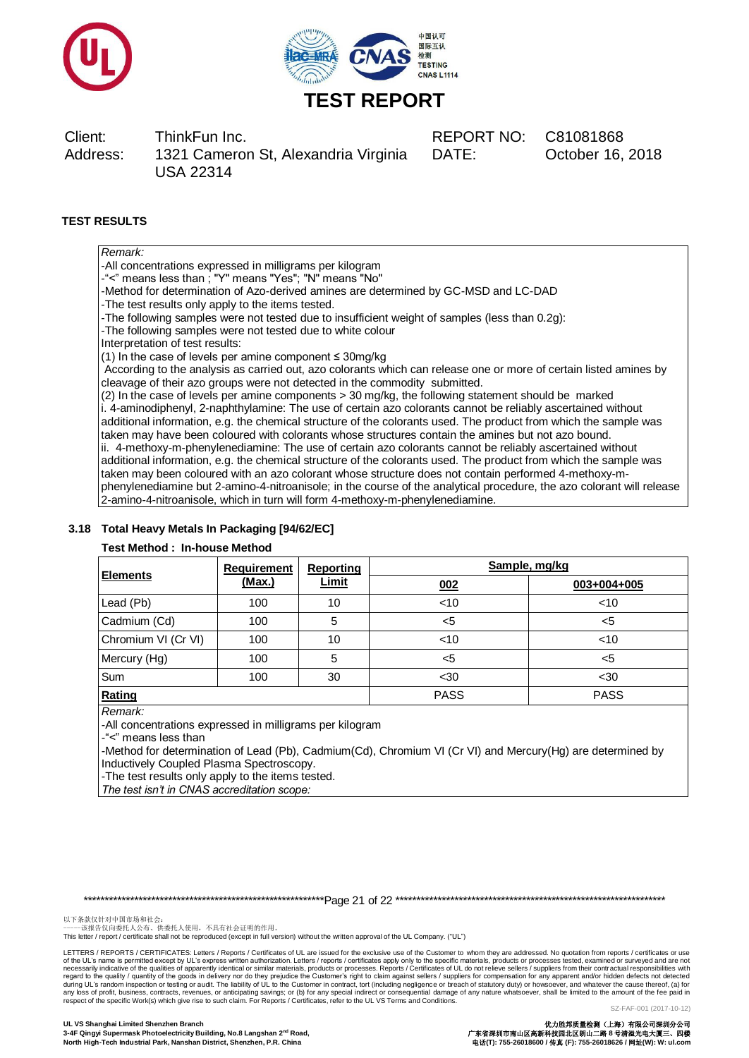



DATE: October 16, 2018

# **TEST RESULTS**

| Remark:                       |  |
|-------------------------------|--|
| -All concentrations expressed |  |

in milligrams per kilogram -"<" means less than ; "Y" means "Yes"; "N" means "No"

-Method for determination of Azo-derived amines are determined by GC-MSD and LC-DAD

-The test results only apply to the items tested.

-The following samples were not tested due to insufficient weight of samples (less than 0.2g):

-The following samples were not tested due to white colour

Interpretation of test results:

(1) In the case of levels per amine component ≤ 30mg/kg

According to the analysis as carried out, azo colorants which can release one or more of certain listed amines by cleavage of their azo groups were not detected in the commodity submitted.

(2) In the case of levels per amine components > 30 mg/kg, the following statement should be marked i. 4-aminodiphenyl, 2-naphthylamine: The use of certain azo colorants cannot be reliably ascertained without additional information, e.g. the chemical structure of the colorants used. The product from which the sample was taken may have been coloured with colorants whose structures contain the amines but not azo bound. ii. 4-methoxy-m-phenylenediamine: The use of certain azo colorants cannot be reliably ascertained without additional information, e.g. the chemical structure of the colorants used. The product from which the sample was taken may been coloured with an azo colorant whose structure does not contain performed 4-methoxy-mphenylenediamine but 2-amino-4-nitroanisole; in the course of the analytical procedure, the azo colorant will release 2-amino-4-nitroanisole, which in turn will form 4-methoxy-m-phenylenediamine.

# **3.18 Total Heavy Metals In Packaging [94/62/EC]**

# **Test Method : In-house Method**

| <b>Elements</b>     | <b>Requirement</b> | <b>Reporting</b> | Sample, mg/kg |             |  |
|---------------------|--------------------|------------------|---------------|-------------|--|
|                     | <u>(Max.)</u>      | <b>Limit</b>     | 002           | 003+004+005 |  |
| Lead (Pb)           | 100                | 10               | < 10          | $<$ 10      |  |
| Cadmium (Cd)        | 100                | 5                | $5$           | $<$ 5       |  |
| Chromium VI (Cr VI) | 100                | 10               | < 10          | $<$ 10      |  |
| Mercury (Hg)        | 100                | 5                | $<$ 5         | $<$ 5       |  |
| Sum                 | 100                | 30               | $30$          | $30$        |  |
| Rating              |                    |                  | <b>PASS</b>   | <b>PASS</b> |  |

*Remark:*

-All concentrations expressed in milligrams per kilogram

-"<" means less than

-Method for determination of Lead (Pb), Cadmium(Cd), Chromium VI (Cr VI) and Mercury(Hg) are determined by Inductively Coupled Plasma Spectroscopy.

-The test results only apply to the items tested.

*The test isn't in CNAS accreditation scope:*

\*\*\*\*\*\*\*\*\*\*\*\*\*\*\*\*\*\*\*\*\*\*\*\*\*\*\*\*\*\*\*\*\*\*\*\*\*\*\*\*\*\*\*\*\*\*\*\*\*\*\*\*\*\*\*\*\*Page 21 of 22 \*\*\*\*\*\*\*\*\*\*\*\*\*\*\*\*\*\*\*\*\*\*\*\*\*\*\*\*\*\*\*\*\*\*\*\*\*\*\*\*\*\*\*\*\*\*\*\*\*\*\*\*\*\*\*\*\*\*\*\*\*\*\*\*

以下条款仅针对中国市场和社会:<br>-----该报告仅向委托人公布、供委托人使用,不具有社会证明的作用。

This letter / report / certificate shall not be reproduced (except in full version) without the written approval of the UL Company. ("UL")

LETTERS / REPORTS / CERTIFICATES: Letters / Reports / Certificates of UL are issued for the exclusive use of the Customer to whom they are addressed. No quotation from reports / certificates or use of the UL's name is permitted except by UL's express written authorization. Letters / reports / certificates apply only to the specific materials, products or processes. Reports / Certificates of UL do not relieve sellers respect of the specific Work(s) which give rise to such claim. For Reports / Certificates, refer to the UL VS Terms and Conditions.

SZ-FAF-001 (2017-10-12)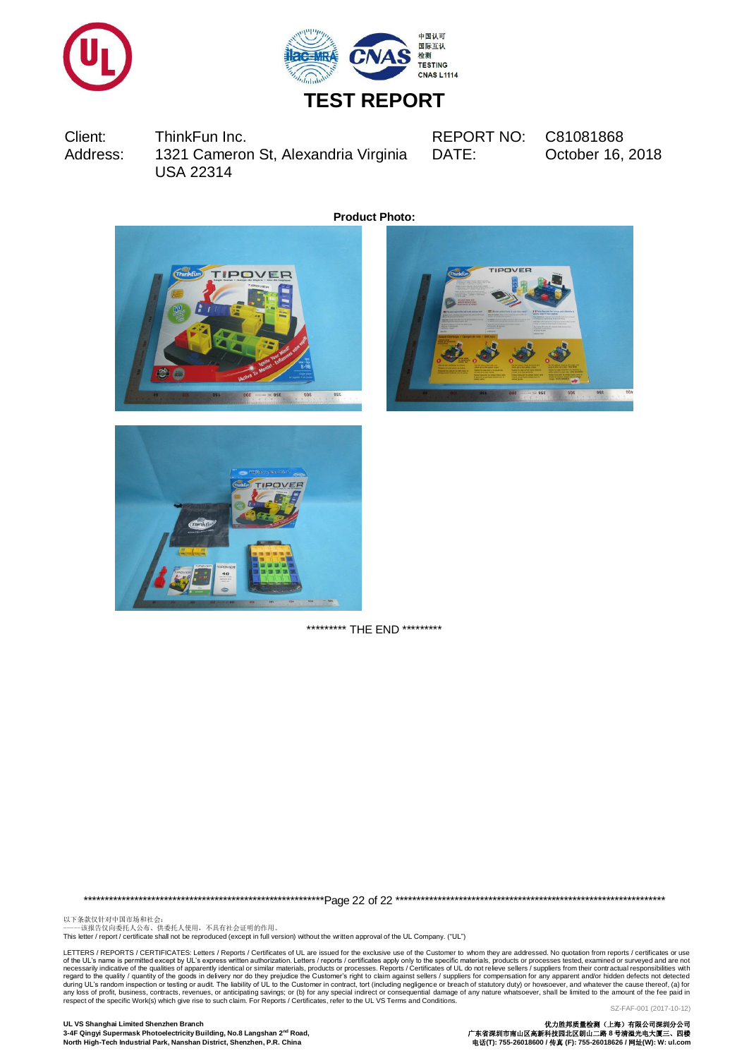



# **TEST REPORT**

Client: ThinkFun Inc. REPORT NO: C81081868 Address: 1321 Cameron St, Alexandria Virginia USA 22314

DATE: October 16, 2018

**Product Photo:**







\*\*\*\*\*\*\*\*\*\* THE END \*\*\*\*\*\*\*\*\*

\*\*\*\*\*\*\*\*\*\*\*\*\*\*\*\*\*\*\*\*\*\*\*\*\*\*\*\*\*\*\*\*\*\*\*\*\*\*\*\*\*\*\*\*\*\*\*\*\*\*\*\*\*\*\*\*\*Page 22 of 22 \*\*\*\*\*\*\*\*\*\*\*\*\*\*\*\*\*\*\*\*\*\*\*\*\*\*\*\*\*\*\*\*\*\*\*\*\*\*\*\*\*\*\*\*\*\*\*\*\*\*\*\*\*\*\*\*\*\*\*\*\*\*\*\*

以下条款仅针对中国市场和社会:<br>-----该报告仅向委托人公布、供委托人使用,不具有社会证明的作用。

This letter / report / certificate shall not be reproduced (except in full version) without the written approval of the UL Company. ("UL")

LETTERS / REPORTS / CERTIFICATES: Letters / Reports / Certificates of UL are issued for the exclusive use of the Customer to whom they are addressed. No quotation from reports / certificates or use of the UL's name is permitted except by UL's express written authorization. Letters / reports / certificates apply only to the specific materials, products or processes tested, examined or surveyed and are not correctors a

**UL VS Shanghai Limited Shenzhen Branch** 优力胜邦质量检测(上海)有限公司深圳分公司 3-4F Qingyi Supermask Photoelectricity Building, No.8 Langshan 2<sup>nd</sup> Road, **North High-Tech Industrial Park, Nanshan District, Shenzhen, P.R. China** 电话**(T): 755-26018600 /** 传真 **(F): 755-26018626 /** 网址**(W): W: ul.com**